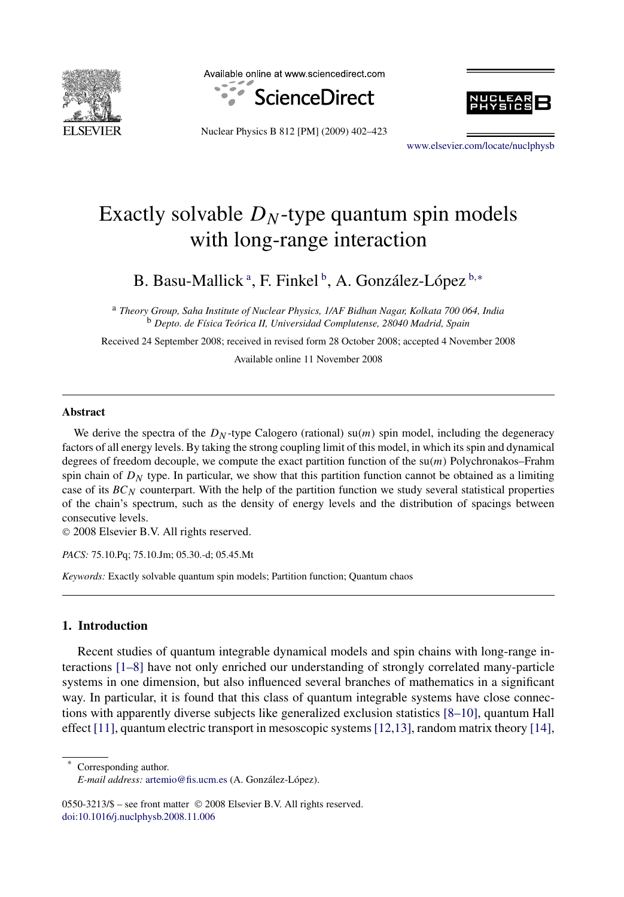

Available online at www.sciencedirect.com





Nuclear Physics B 812 [PM] (2009) 402–423

[www.elsevier.com/locate/nuclphysb](http://www.elsevier.com/locate/nuclphysb)

# Exactly solvable  $D<sub>N</sub>$ -type quantum spin models with long-range interaction

B. Basu-Mallick<sup>a</sup>, F. Finkel<sup>b</sup>, A. González-López<sup>b,∗</sup>

<sup>a</sup> *Theory Group, Saha Institute of Nuclear Physics, 1/AF Bidhan Nagar, Kolkata 700 064, India* <sup>b</sup> *Depto. de Física Teórica II, Universidad Complutense, 28040 Madrid, Spain*

Received 24 September 2008; received in revised form 28 October 2008; accepted 4 November 2008 Available online 11 November 2008

## **Abstract**

We derive the spectra of the  $D<sub>N</sub>$ -type Calogero (rational) su $(m)$  spin model, including the degeneracy factors of all energy levels. By taking the strong coupling limit of this model, in which its spin and dynamical degrees of freedom decouple, we compute the exact partition function of the su*(m)* Polychronakos–Frahm spin chain of  $D<sub>N</sub>$  type. In particular, we show that this partition function cannot be obtained as a limiting case of its *BCN* counterpart. With the help of the partition function we study several statistical properties of the chain's spectrum, such as the density of energy levels and the distribution of spacings between consecutive levels.

© 2008 Elsevier B.V. All rights reserved.

*PACS:* 75.10.Pq; 75.10.Jm; 05.30.-d; 05.45.Mt

*Keywords:* Exactly solvable quantum spin models; Partition function; Quantum chaos

#### **1. Introduction**

Recent studies of quantum integrable dynamical models and spin chains with long-range interactions [\[1–8\]](#page-20-0) have not only enriched our understanding of strongly correlated many-particle systems in one dimension, but also influenced several branches of mathematics in a significant way. In particular, it is found that this class of quantum integrable systems have close connections with apparently diverse subjects like generalized exclusion statistics [\[8–10\],](#page-20-0) quantum Hall effect  $[11]$ , quantum electric transport in mesoscopic systems  $[12,13]$ , random matrix theory  $[14]$ ,

Corresponding author. *E-mail address:* [artemio@fis.ucm.es](mailto:artemio@fis.ucm.es) (A. González-López).

0550-3213/\$ – see front matter © 2008 Elsevier B.V. All rights reserved. [doi:10.1016/j.nuclphysb.2008.11.006](http://dx.doi.org/10.1016/j.nuclphysb.2008.11.006)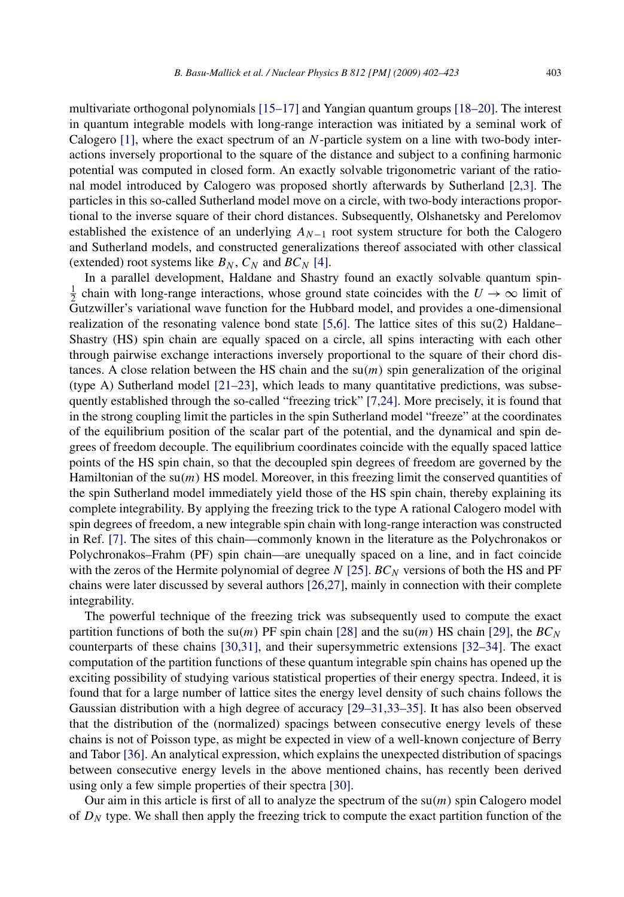multivariate orthogonal polynomials [\[15–17\]](#page-20-0) and Yangian quantum groups [\[18–20\].](#page-20-0) The interest in quantum integrable models with long-range interaction was initiated by a seminal work of Calogero [\[1\],](#page-20-0) where the exact spectrum of an *N*-particle system on a line with two-body interactions inversely proportional to the square of the distance and subject to a confining harmonic potential was computed in closed form. An exactly solvable trigonometric variant of the rational model introduced by Calogero was proposed shortly afterwards by Sutherland [\[2,3\].](#page-20-0) The particles in this so-called Sutherland model move on a circle, with two-body interactions proportional to the inverse square of their chord distances. Subsequently, Olshanetsky and Perelomov established the existence of an underlying *AN*<sup>−</sup><sup>1</sup> root system structure for both the Calogero and Sutherland models, and constructed generalizations thereof associated with other classical (extended) root systems like  $B_N$ ,  $C_N$  and  $BC_N$  [\[4\].](#page-20-0)

In a parallel development, Haldane and Shastry found an exactly solvable quantum spin- $\frac{1}{2}$  chain with long-range interactions, whose ground state coincides with the  $U \rightarrow \infty$  limit of Gutzwiller's variational wave function for the Hubbard model, and provides a one-dimensional realization of the resonating valence bond state [\[5,6\].](#page-20-0) The lattice sites of this su*(*2*)* Haldane– Shastry (HS) spin chain are equally spaced on a circle, all spins interacting with each other through pairwise exchange interactions inversely proportional to the square of their chord distances. A close relation between the HS chain and the  $\mathfrak{su}(m)$  spin generalization of the original (type A) Sutherland model  $[21-23]$ , which leads to many quantitative predictions, was subsequently established through the so-called "freezing trick" [\[7,24\].](#page-20-0) More precisely, it is found that in the strong coupling limit the particles in the spin Sutherland model "freeze" at the coordinates of the equilibrium position of the scalar part of the potential, and the dynamical and spin degrees of freedom decouple. The equilibrium coordinates coincide with the equally spaced lattice points of the HS spin chain, so that the decoupled spin degrees of freedom are governed by the Hamiltonian of the su*(m)* HS model. Moreover, in this freezing limit the conserved quantities of the spin Sutherland model immediately yield those of the HS spin chain, thereby explaining its complete integrability. By applying the freezing trick to the type A rational Calogero model with spin degrees of freedom, a new integrable spin chain with long-range interaction was constructed in Ref. [\[7\].](#page-20-0) The sites of this chain—commonly known in the literature as the Polychronakos or Polychronakos–Frahm (PF) spin chain—are unequally spaced on a line, and in fact coincide with the zeros of the Hermite polynomial of degree  $N$  [\[25\].](#page-20-0)  $BC_N$  versions of both the HS and PF chains were later discussed by several authors [\[26,27\],](#page-20-0) mainly in connection with their complete integrability.

The powerful technique of the freezing trick was subsequently used to compute the exact partition functions of both the su(*m*) PF spin chain [\[28\]](#page-20-0) and the su(*m*) HS chain [\[29\],](#page-20-0) the  $BC_N$ counterparts of these chains [\[30,31\],](#page-20-0) and their supersymmetric extensions [\[32–34\].](#page-20-0) The exact computation of the partition functions of these quantum integrable spin chains has opened up the exciting possibility of studying various statistical properties of their energy spectra. Indeed, it is found that for a large number of lattice sites the energy level density of such chains follows the Gaussian distribution with a high degree of accuracy [\[29–31,33–35\].](#page-20-0) It has also been observed that the distribution of the (normalized) spacings between consecutive energy levels of these chains is not of Poisson type, as might be expected in view of a well-known conjecture of Berry and Tabor [\[36\].](#page-20-0) An analytical expression, which explains the unexpected distribution of spacings between consecutive energy levels in the above mentioned chains, has recently been derived using only a few simple properties of their spectra [\[30\].](#page-20-0)

Our aim in this article is first of all to analyze the spectrum of the su*(m)* spin Calogero model of *DN* type. We shall then apply the freezing trick to compute the exact partition function of the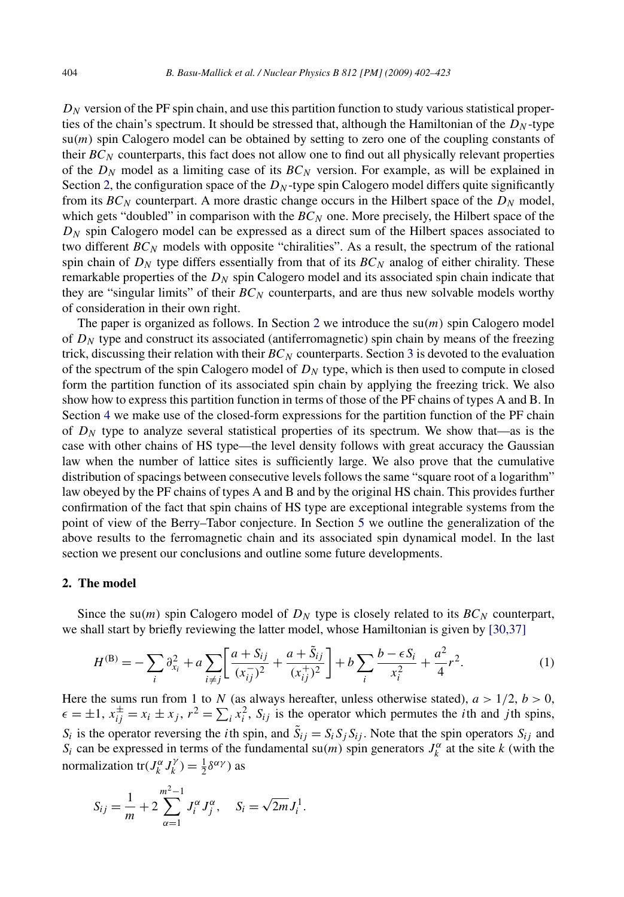<span id="page-2-0"></span> $D<sub>N</sub>$  version of the PF spin chain, and use this partition function to study various statistical properties of the chain's spectrum. It should be stressed that, although the Hamiltonian of the  $D<sub>N</sub>$ -type  $su(m)$  spin Calogero model can be obtained by setting to zero one of the coupling constants of their  $BC_N$  counterparts, this fact does not allow one to find out all physically relevant properties of the  $D_N$  model as a limiting case of its  $BC_N$  version. For example, as will be explained in Section 2, the configuration space of the  $D<sub>N</sub>$ -type spin Calogero model differs quite significantly from its  $BC_N$  counterpart. A more drastic change occurs in the Hilbert space of the  $D_N$  model, which gets "doubled" in comparison with the  $BC_N$  one. More precisely, the Hilbert space of the  $D_N$  spin Calogero model can be expressed as a direct sum of the Hilbert spaces associated to two different  $BC_N$  models with opposite "chiralities". As a result, the spectrum of the rational spin chain of  $D_N$  type differs essentially from that of its  $BC_N$  analog of either chirality. These remarkable properties of the  $D<sub>N</sub>$  spin Calogero model and its associated spin chain indicate that they are "singular limits" of their *BC<sup>N</sup>* counterparts, and are thus new solvable models worthy of consideration in their own right.

The paper is organized as follows. In Section 2 we introduce the  $su(m)$  spin Calogero model of  $D<sub>N</sub>$  type and construct its associated (antiferromagnetic) spin chain by means of the freezing trick, discussing their relation with their  $BC_N$  counterparts. Section [3](#page-5-0) is devoted to the evaluation of the spectrum of the spin Calogero model of  $D<sub>N</sub>$  type, which is then used to compute in closed form the partition function of its associated spin chain by applying the freezing trick. We also show how to express this partition function in terms of those of the PF chains of types A and B. In Section [4](#page-13-0) we make use of the closed-form expressions for the partition function of the PF chain of *DN* type to analyze several statistical properties of its spectrum. We show that—as is the case with other chains of HS type—the level density follows with great accuracy the Gaussian law when the number of lattice sites is sufficiently large. We also prove that the cumulative distribution of spacings between consecutive levels follows the same "square root of a logarithm" law obeyed by the PF chains of types A and B and by the original HS chain. This provides further confirmation of the fact that spin chains of HS type are exceptional integrable systems from the point of view of the Berry–Tabor conjecture. In Section [5](#page-17-0) we outline the generalization of the above results to the ferromagnetic chain and its associated spin dynamical model. In the last section we present our conclusions and outline some future developments.

#### **2. The model**

Since the su(*m*) spin Calogero model of  $D<sub>N</sub>$  type is closely related to its  $BC<sub>N</sub>$  counterpart, we shall start by briefly reviewing the latter model, whose Hamiltonian is given by [\[30,37\]](#page-20-0)

$$
H^{(\mathcal{B})} = -\sum_{i} \partial_{x_i}^{2} + a \sum_{i \neq j} \left[ \frac{a + S_{ij}}{(x_{ij}^{-})^2} + \frac{a + \tilde{S}_{ij}}{(x_{ij}^{+})^2} \right] + b \sum_{i} \frac{b - \epsilon S_{i}}{x_{i}^{2}} + \frac{a^{2}}{4} r^{2}.
$$
 (1)

Here the sums run from 1 to *N* (as always hereafter, unless otherwise stated),  $a > 1/2$ ,  $b > 0$ ,  $\epsilon = \pm 1$ ,  $x_{ij}^{\pm} = x_i \pm x_j$ ,  $r^2 = \sum_i x_i^2$ ,  $S_{ij}$  is the operator which permutes the *i*th and *j*th spins,  $S_i$  is the operator reversing the *i*th spin, and  $\tilde{S}_{ij} = S_i S_j S_{ij}$ . Note that the spin operators  $S_{ij}$  and *S<sub>i</sub>* can be expressed in terms of the fundamental su*(m)* spin generators  $J_k^{\alpha}$  at the site *k* (with the normalization tr $(J_k^{\alpha} J_k^{\gamma}) = \frac{1}{2} \delta^{\alpha \gamma}$  as

$$
S_{ij} = \frac{1}{m} + 2 \sum_{\alpha=1}^{m^2-1} J_i^{\alpha} J_j^{\alpha}, \quad S_i = \sqrt{2m} J_i^1.
$$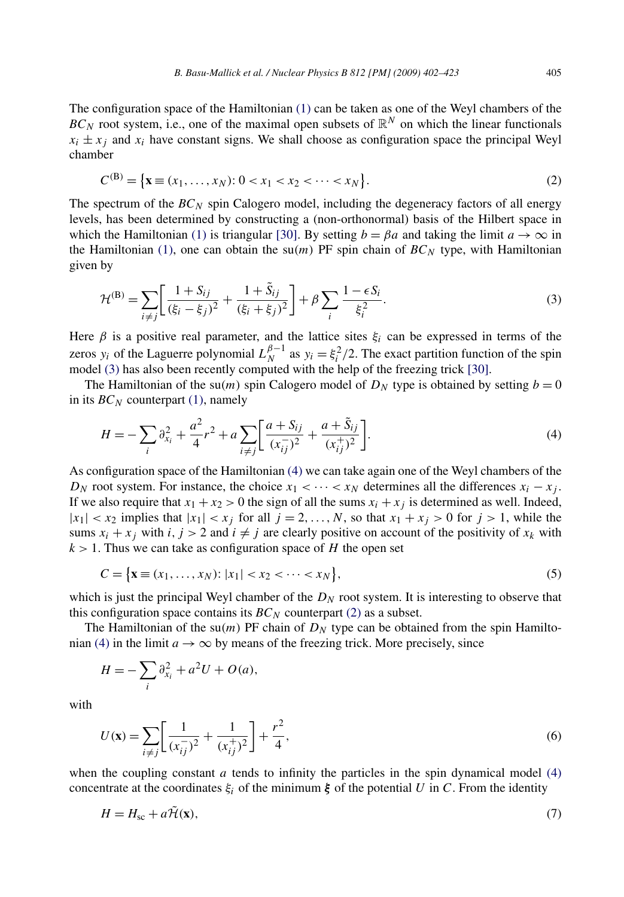<span id="page-3-0"></span>The configuration space of the Hamiltonian [\(1\)](#page-2-0) can be taken as one of the Weyl chambers of the  $BC_N$  root system, i.e., one of the maximal open subsets of  $\mathbb{R}^N$  on which the linear functionals  $x_i \pm x_j$  and  $x_i$  have constant signs. We shall choose as configuration space the principal Weyl chamber

$$
C^{(\mathbf{B})} = \{ \mathbf{x} \equiv (x_1, \dots, x_N) : 0 < x_1 < x_2 < \dots < x_N \}. \tag{2}
$$

The spectrum of the  $BC_N$  spin Calogero model, including the degeneracy factors of all energy levels, has been determined by constructing a (non-orthonormal) basis of the Hilbert space in which the Hamiltonian [\(1\)](#page-2-0) is triangular [\[30\].](#page-20-0) By setting  $b = \beta a$  and taking the limit  $a \to \infty$  in the Hamiltonian [\(1\),](#page-2-0) one can obtain the  $su(m)$  PF spin chain of  $BC_N$  type, with Hamiltonian given by

$$
\mathcal{H}^{(B)} = \sum_{i \neq j} \left[ \frac{1 + S_{ij}}{(\xi_i - \xi_j)^2} + \frac{1 + \tilde{S}_{ij}}{(\xi_i + \xi_j)^2} \right] + \beta \sum_{i} \frac{1 - \epsilon S_i}{\xi_i^2}.
$$
\n(3)

Here  $\beta$  is a positive real parameter, and the lattice sites  $\xi_i$  can be expressed in terms of the zeros  $y_i$  of the Laguerre polynomial  $L_N^{\beta-1}$  as  $y_i = \xi_i^2/2$ . The exact partition function of the spin model (3) has also been recently computed with the help of the freezing trick [\[30\].](#page-20-0)

The Hamiltonian of the su(*m*) spin Calogero model of  $D<sub>N</sub>$  type is obtained by setting  $b = 0$ in its *BC<sub>N</sub>* counterpart [\(1\),](#page-2-0) namely

$$
H = -\sum_{i} \partial_{x_i}^{2} + \frac{a^2}{4} r^2 + a \sum_{i \neq j} \left[ \frac{a + S_{ij}}{(x_{ij}^{-})^2} + \frac{a + \tilde{S}_{ij}}{(x_{ij}^{+})^2} \right].
$$
 (4)

As configuration space of the Hamiltonian (4) we can take again one of the Weyl chambers of the *D<sub>N</sub>* root system. For instance, the choice  $x_1 < \cdots < x_N$  determines all the differences  $x_i - x_j$ . If we also require that  $x_1 + x_2 > 0$  the sign of all the sums  $x_i + x_j$  is determined as well. Indeed,  $|x_1| < x_2$  implies that  $|x_1| < x_j$  for all  $j = 2, \ldots, N$ , so that  $x_1 + x_j > 0$  for  $j > 1$ , while the sums  $x_i + x_j$  with  $i, j > 2$  and  $i \neq j$  are clearly positive on account of the positivity of  $x_k$  with  $k > 1$ . Thus we can take as configuration space of *H* the open set

$$
C = \{ \mathbf{x} \equiv (x_1, \dots, x_N) : |x_1| < x_2 < \dots < x_N \},\tag{5}
$$

which is just the principal Weyl chamber of the  $D<sub>N</sub>$  root system. It is interesting to observe that this configuration space contains its  $BC_N$  counterpart (2) as a subset.

The Hamiltonian of the su(*m*) PF chain of  $D<sub>N</sub>$  type can be obtained from the spin Hamiltonian (4) in the limit  $a \to \infty$  by means of the freezing trick. More precisely, since

$$
H = -\sum_{i} \partial_{x_i}^2 + a^2 U + O(a),
$$

with

$$
U(\mathbf{x}) = \sum_{i \neq j} \left[ \frac{1}{(x_{ij}^{-})^2} + \frac{1}{(x_{ij}^{+})^2} \right] + \frac{r^2}{4},\tag{6}
$$

when the coupling constant  $a$  tends to infinity the particles in the spin dynamical model  $(4)$ concentrate at the coordinates  $\xi_i$  of the minimum  $\xi$  of the potential *U* in *C*. From the identity

$$
H = H_{\rm sc} + a\tilde{\mathcal{H}}(\mathbf{x}),\tag{7}
$$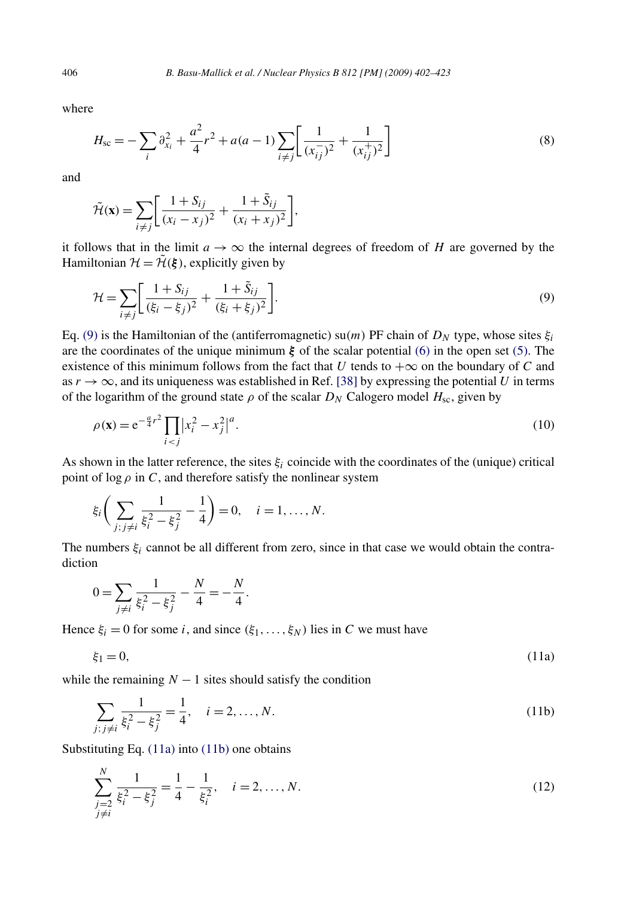where

$$
H_{\rm sc} = -\sum_{i} \partial_{x_i}^2 + \frac{a^2}{4} r^2 + a(a-1) \sum_{i \neq j} \left[ \frac{1}{(x_{ij}^{-})^2} + \frac{1}{(x_{ij}^{+})^2} \right]
$$
(8)

and

$$
\tilde{\mathcal{H}}(\mathbf{x}) = \sum_{i \neq j} \left[ \frac{1 + S_{ij}}{(x_i - x_j)^2} + \frac{1 + \tilde{S}_{ij}}{(x_i + x_j)^2} \right],
$$

it follows that in the limit  $a \to \infty$  the internal degrees of freedom of *H* are governed by the Hamiltonian  $\mathcal{H} = \tilde{\mathcal{H}}(\xi)$ , explicitly given by

$$
\mathcal{H} = \sum_{i \neq j} \left[ \frac{1 + S_{ij}}{(\xi_i - \xi_j)^2} + \frac{1 + \tilde{S}_{ij}}{(\xi_i + \xi_j)^2} \right].
$$
\n(9)

Eq. (9) is the Hamiltonian of the (antiferromagnetic) su*(m)* PF chain of *DN* type, whose sites *ξi* are the coordinates of the unique minimum  $\xi$  of the scalar potential [\(6\)](#page-3-0) in the open set [\(5\).](#page-3-0) The existence of this minimum follows from the fact that *U* tends to  $+\infty$  on the boundary of *C* and as  $r \to \infty$ , and its uniqueness was established in Ref. [\[38\]](#page-20-0) by expressing the potential *U* in terms of the logarithm of the ground state  $\rho$  of the scalar  $D_N$  Calogero model  $H_{\text{sc}}$ , given by

$$
\rho(\mathbf{x}) = e^{-\frac{a}{4}r^2} \prod_{i < j} |x_i^2 - x_j^2|^a. \tag{10}
$$

As shown in the latter reference, the sites  $\xi$ <sub>*i*</sub> coincide with the coordinates of the (unique) critical point of  $\log \rho$  in *C*, and therefore satisfy the nonlinear system

$$
\xi_i \bigg( \sum_{j; j \neq i} \frac{1}{\xi_i^2 - \xi_j^2} - \frac{1}{4} \bigg) = 0, \quad i = 1, ..., N.
$$

The numbers *ξi* cannot be all different from zero, since in that case we would obtain the contradiction

$$
0 = \sum_{j \neq i} \frac{1}{\xi_i^2 - \xi_j^2} - \frac{N}{4} = -\frac{N}{4}.
$$

Hence  $\xi_i = 0$  for some *i*, and since  $(\xi_1, \ldots, \xi_N)$  lies in *C* we must have

$$
\xi_1 = 0,\tag{11a}
$$

while the remaining  $N - 1$  sites should satisfy the condition

$$
\sum_{j; j \neq i} \frac{1}{\xi_i^2 - \xi_j^2} = \frac{1}{4}, \quad i = 2, ..., N.
$$
\n(11b)

Substituting Eq. (11a) into (11b) one obtains

*N*

$$
\sum_{\substack{j=2\\j\neq i}}^N \frac{1}{\xi_i^2 - \xi_j^2} = \frac{1}{4} - \frac{1}{\xi_i^2}, \quad i = 2, \dots, N.
$$
\n(12)

<span id="page-4-0"></span>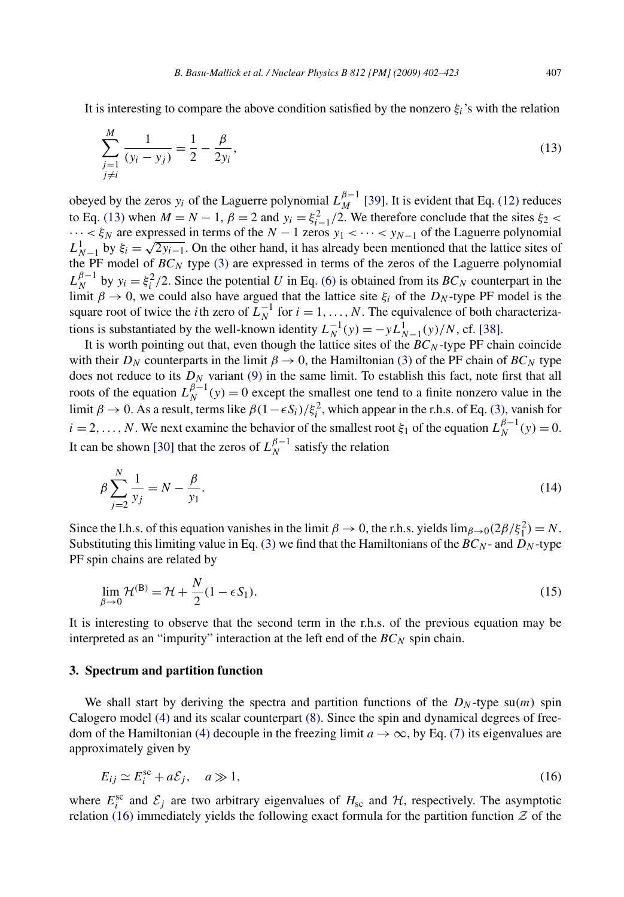<span id="page-5-0"></span>It is interesting to compare the above condition satisfied by the nonzero  $\xi_i$ 's with the relation

$$
\sum_{\substack{j=1 \ j \neq i}}^{M} \frac{1}{(y_i - y_j)} = \frac{1}{2} - \frac{\beta}{2y_i},\tag{13}
$$

obeyed by the zeros *y<sub>i</sub>* of the Laguerre polynomial  $L_M^{\beta-1}$  [\[39\].](#page-20-0) It is evident that Eq. [\(12\)](#page-4-0) reduces to Eq. (13) when  $M = N - 1$ ,  $\beta = 2$  and  $y_i = \xi_{i-1}^2/2$ . We therefore conclude that the sites  $\xi_2$  <  $\cdots < \xi_N$  are expressed in terms of the  $N-1$  zeros  $y_1 < \cdots < y_{N-1}$  of the Laguerre polynomial  $L_{N-1}^1$  by  $\xi_i = \sqrt{2y_{i-1}}$ . On the other hand, it has already been mentioned that the lattice sites of the PF model of  $BC_N$  type [\(3\)](#page-3-0) are expressed in terms of the zeros of the Laguerre polynomial  $L_N^{\beta-1}$  by  $y_i = \xi_i^2/2$ . Since the potential *U* in Eq. [\(6\)](#page-3-0) is obtained from its *BC<sub>N</sub>* counterpart in the limit  $\beta \to 0$ , we could also have argued that the lattice site  $\xi_i$  of the  $D_N$ -type PF model is the square root of twice the *i*th zero of  $L_N^{-1}$  for  $i = 1, ..., N$ . The equivalence of both characterizations is substantiated by the well-known identity  $L_N^{-1}(y) = -yL_{N-1}^1(y)/N$ , cf. [\[38\].](#page-20-0)

It is worth pointing out that, even though the lattice sites of the *BC<sup>N</sup>* -type PF chain coincide with their  $D_N$  counterparts in the limit  $\beta \to 0$ , the Hamiltonian [\(3\)](#page-3-0) of the PF chain of  $BC_N$  type does not reduce to its  $D_N$  variant [\(9\)](#page-4-0) in the same limit. To establish this fact, note first that all roots of the equation  $L_N^{\beta-1}(y) = 0$  except the smallest one tend to a finite nonzero value in the limit  $\beta \to 0$ . As a result, terms like  $\beta(1-\epsilon S_i)/\xi_i^2$ , which appear in the r.h.s. of Eq. [\(3\),](#page-3-0) vanish for  $i = 2, \ldots, N$ . We next examine the behavior of the smallest root  $\xi_1$  of the equation  $L_N^{\beta-1}(y) = 0$ . It can be shown [\[30\]](#page-20-0) that the zeros of  $L_N^{\beta-1}$  satisfy the relation

$$
\beta \sum_{j=2}^{N} \frac{1}{y_j} = N - \frac{\beta}{y_1}.
$$
\n(14)

Since the l.h.s. of this equation vanishes in the limit  $\beta \to 0$ , the r.h.s. yields  $\lim_{\beta \to 0} (2\beta/\xi_1^2) = N$ . Substituting this limiting value in Eq. [\(3\)](#page-3-0) we find that the Hamiltonians of the  $BC_N$ - and  $D_N$ -type PF spin chains are related by

$$
\lim_{\beta \to 0} \mathcal{H}^{(B)} = \mathcal{H} + \frac{N}{2} (1 - \epsilon S_1).
$$
\n(15)

It is interesting to observe that the second term in the r.h.s. of the previous equation may be interpreted as an "impurity" interaction at the left end of the  $BC_N$  spin chain.

#### **3. Spectrum and partition function**

We shall start by deriving the spectra and partition functions of the  $D<sub>N</sub>$ -type su $(m)$  spin Calogero model [\(4\)](#page-3-0) and its scalar counterpart [\(8\).](#page-4-0) Since the spin and dynamical degrees of free-dom of the Hamiltonian [\(4\)](#page-3-0) decouple in the freezing limit  $a \rightarrow \infty$ , by Eq. [\(7\)](#page-3-0) its eigenvalues are approximately given by

$$
E_{ij} \simeq E_i^{\rm sc} + a\mathcal{E}_j, \quad a \gg 1,
$$
\n(16)

where  $E_i^{\text{sc}}$  and  $\mathcal{E}_j$  are two arbitrary eigenvalues of  $H_{\text{sc}}$  and  $\mathcal{H}$ , respectively. The asymptotic relation (16) immediately yields the following exact formula for the partition function  $Z$  of the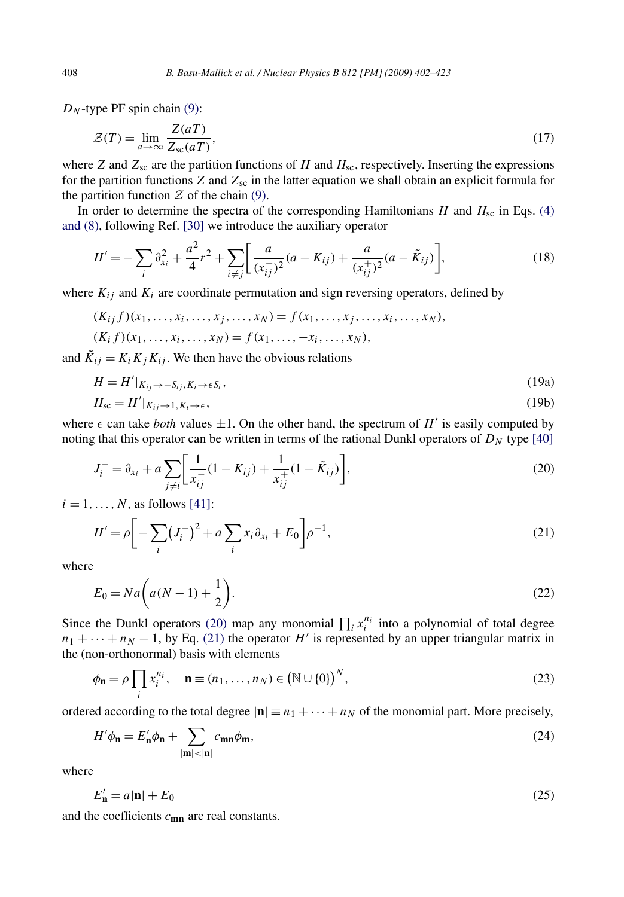$D<sub>N</sub>$ -type PF spin chain [\(9\):](#page-4-0)

$$
\mathcal{Z}(T) = \lim_{a \to \infty} \frac{\mathcal{Z}(aT)}{\mathcal{Z}_{\rm sc}(aT)},\tag{17}
$$

where *Z* and  $Z_{\rm sc}$  are the partition functions of *H* and  $H_{\rm sc}$ , respectively. Inserting the expressions for the partition functions  $Z$  and  $Z_{\rm sc}$  in the latter equation we shall obtain an explicit formula for the partition function  $\mathcal Z$  of the chain [\(9\).](#page-4-0)

In order to determine the spectra of the corresponding Hamiltonians *H* and  $H_{\text{sc}}$  in Eqs. [\(4\)](#page-3-0) [and \(8\),](#page-3-0) following Ref. [\[30\]](#page-20-0) we introduce the auxiliary operator

$$
H' = -\sum_{i} \partial_{x_i}^{2} + \frac{a^2}{4} r^2 + \sum_{i \neq j} \left[ \frac{a}{(x_{ij}^{-})^2} (a - K_{ij}) + \frac{a}{(x_{ij}^{+})^2} (a - \tilde{K}_{ij}) \right],
$$
\n(18)

where  $K_{ij}$  and  $K_i$  are coordinate permutation and sign reversing operators, defined by

$$
(K_{ij} f)(x_1, ..., x_i, ..., x_j, ..., x_N) = f(x_1, ..., x_j, ..., x_i, ..., x_N),
$$
  
\n
$$
(K_i f)(x_1, ..., x_i, ..., x_N) = f(x_1, ..., -x_i, ..., x_N),
$$

and  $\tilde{K}_{ij} = K_i K_j K_{ij}$ . We then have the obvious relations

$$
H = H'|_{K_{ij} \to -S_{ij}, K_i \to \epsilon S_i},\tag{19a}
$$

$$
H_{\rm sc} = H'|_{K_{ij} \to 1, K_i \to \epsilon},\tag{19b}
$$

where  $\epsilon$  can take *both* values  $\pm 1$ . On the other hand, the spectrum of *H'* is easily computed by noting that this operator can be written in terms of the rational Dunkl operators of  $D<sub>N</sub>$  type [\[40\]](#page-20-0)

$$
J_i^- = \partial_{x_i} + a \sum_{j \neq i} \left[ \frac{1}{x_{ij}^-} (1 - K_{ij}) + \frac{1}{x_{ij}^+} (1 - \tilde{K}_{ij}) \right],
$$
\n(20)

 $i = 1, \ldots, N$ , as follows [\[41\]:](#page-20-0)

$$
H' = \rho \bigg[ -\sum_{i} \left( J_i^{-} \right)^2 + a \sum_{i} x_i \partial_{x_i} + E_0 \bigg] \rho^{-1}, \tag{21}
$$

where

$$
E_0 = Na\bigg(a(N-1) + \frac{1}{2}\bigg). \tag{22}
$$

Since the Dunkl operators (20) map any monomial  $\prod_i x_i^{n_i}$  into a polynomial of total degree  $n_1 + \cdots + n_N - 1$ , by Eq. (21) the operator *H*' is represented by an upper triangular matrix in the (non-orthonormal) basis with elements

$$
\phi_{\mathbf{n}} = \rho \prod_{i} x_i^{n_i}, \quad \mathbf{n} \equiv (n_1, \dots, n_N) \in (\mathbb{N} \cup \{0\})^N,
$$
\n(23)

ordered according to the total degree  $|\mathbf{n}| = n_1 + \cdots + n_N$  of the monomial part. More precisely,

$$
H'\phi_{\mathbf{n}} = E'_{\mathbf{n}}\phi_{\mathbf{n}} + \sum_{|\mathbf{m}| < |\mathbf{n}|} c_{\mathbf{m}\mathbf{n}}\phi_{\mathbf{m}},\tag{24}
$$

where

$$
E'_{\mathbf{n}} = a|\mathbf{n}| + E_0 \tag{25}
$$

and the coefficients *c***mn** are real constants.

<span id="page-6-0"></span>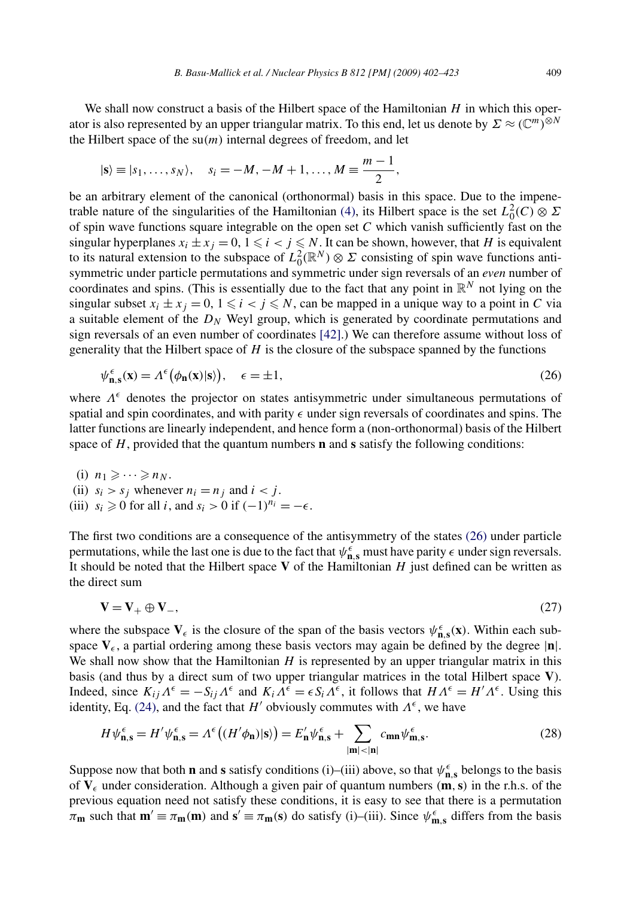<span id="page-7-0"></span>We shall now construct a basis of the Hilbert space of the Hamiltonian *H* in which this operator is also represented by an upper triangular matrix. To this end, let us denote by  $\Sigma \approx (\mathbb{C}^m)^{\otimes N}$ the Hilbert space of the  $su(m)$  internal degrees of freedom, and let

$$
|s\rangle \equiv |s_1, ..., s_N\rangle, \quad s_i = -M, -M + 1, ..., M \equiv \frac{m-1}{2},
$$

be an arbitrary element of the canonical (orthonormal) basis in this space. Due to the impene-trable nature of the singularities of the Hamiltonian [\(4\),](#page-3-0) its Hilbert space is the set  $L_0^2(C) \otimes \Sigma$ of spin wave functions square integrable on the open set *C* which vanish sufficiently fast on the singular hyperplanes  $x_i \pm x_j = 0, 1 \leq i < j \leq N$ . It can be shown, however, that *H* is equivalent to its natural extension to the subspace of  $L_0^2(\mathbb{R}^N) \otimes \Sigma$  consisting of spin wave functions antisymmetric under particle permutations and symmetric under sign reversals of an *even* number of coordinates and spins. (This is essentially due to the fact that any point in  $\mathbb{R}^N$  not lying on the singular subset  $x_i \pm x_j = 0$ ,  $1 \leq i < j \leq N$ , can be mapped in a unique way to a point in *C* via a suitable element of the *DN* Weyl group, which is generated by coordinate permutations and sign reversals of an even number of coordinates [\[42\].](#page-21-0)) We can therefore assume without loss of generality that the Hilbert space of *H* is the closure of the subspace spanned by the functions

$$
\psi_{\mathbf{n},\mathbf{s}}^{\epsilon}(\mathbf{x}) = \Lambda^{\epsilon}(\phi_{\mathbf{n}}(\mathbf{x})|\mathbf{s})\big), \quad \epsilon = \pm 1,\tag{26}
$$

where  $\Lambda^{\epsilon}$  denotes the projector on states antisymmetric under simultaneous permutations of spatial and spin coordinates, and with parity  $\epsilon$  under sign reversals of coordinates and spins. The latter functions are linearly independent, and hence form a (non-orthonormal) basis of the Hilbert space of  $H$ , provided that the quantum numbers **n** and **s** satisfy the following conditions:

(i)  $n_1 \geqslant \cdots \geqslant n_N$ . (ii)  $s_i > s_j$  whenever  $n_i = n_j$  and  $i < j$ . (iii)  $s_i \geq 0$  for all *i*, and  $s_i > 0$  if  $(-1)^{n_i} = -\epsilon$ .

The first two conditions are a consequence of the antisymmetry of the states (26) under particle permutations, while the last one is due to the fact that  $\psi_{n,s}^{\epsilon}$  must have parity  $\epsilon$  under sign reversals. It should be noted that the Hilbert space **V** of the Hamiltonian *H* just defined can be written as the direct sum

$$
\mathbf{V} = \mathbf{V}_{+} \oplus \mathbf{V}_{-},\tag{27}
$$

where the subspace  $V_{\epsilon}$  is the closure of the span of the basis vectors  $\psi_{n,s}^{\epsilon}(x)$ . Within each subspace  $V_{\epsilon}$ , a partial ordering among these basis vectors may again be defined by the degree  $|\mathbf{n}|$ . We shall now show that the Hamiltonian *H* is represented by an upper triangular matrix in this basis (and thus by a direct sum of two upper triangular matrices in the total Hilbert space **V**). Indeed, since  $K_{ij}\Lambda^{\epsilon} = -S_{ij}\Lambda^{\epsilon}$  and  $K_i\Lambda^{\epsilon} = \epsilon S_i\Lambda^{\epsilon}$ , it follows that  $H\Lambda^{\epsilon} = H'\Lambda^{\epsilon}$ . Using this identity, Eq. [\(24\),](#page-6-0) and the fact that *H'* obviously commutes with  $\Lambda^{\epsilon}$ , we have

$$
H\psi_{\mathbf{n},\mathbf{s}}^{\epsilon} = H'\psi_{\mathbf{n},\mathbf{s}}^{\epsilon} = \Lambda^{\epsilon}\big((H'\phi_{\mathbf{n}})|\mathbf{s}\rangle\big) = E'_{\mathbf{n}}\psi_{\mathbf{n},\mathbf{s}}^{\epsilon} + \sum_{|\mathbf{m}|<|\mathbf{n}|} c_{\mathbf{m}\mathbf{n}} \psi_{\mathbf{m},\mathbf{s}}^{\epsilon}.
$$
 (28)

Suppose now that both **n** and **s** satisfy conditions (i)–(iii) above, so that  $\psi_{n,s}^{\epsilon}$  belongs to the basis of  $V_{\epsilon}$  under consideration. Although a given pair of quantum numbers  $(m, s)$  in the r.h.s. of the previous equation need not satisfy these conditions, it is easy to see that there is a permutation  $\pi_{\bf m}$  such that  ${\bf m}' \equiv \pi_{\bf m}({\bf m})$  and  ${\bf s}' \equiv \pi_{\bf m}({\bf s})$  do satisfy (i)–(iii). Since  $\psi_{\bf m,s}^{\epsilon}$  differs from the basis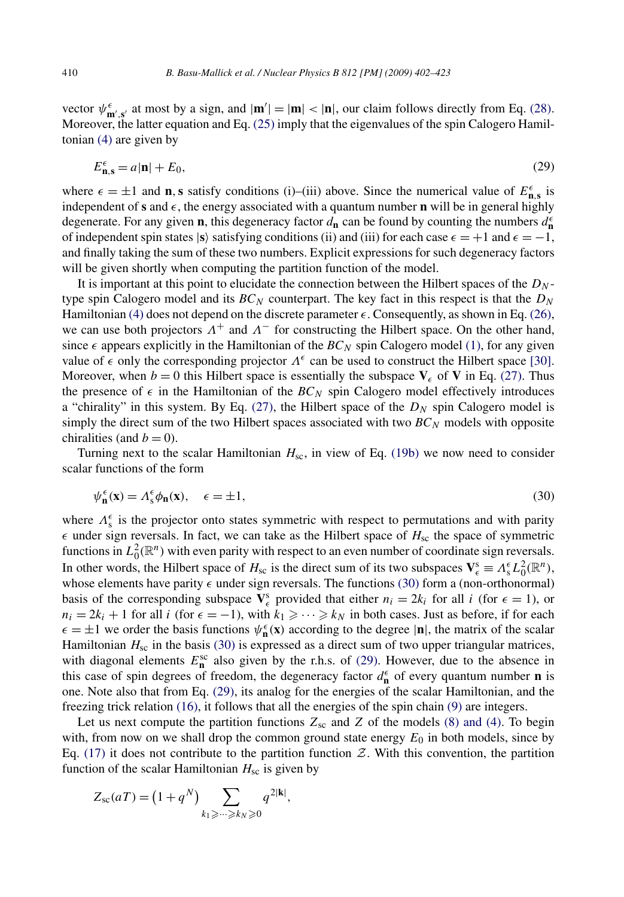<span id="page-8-0"></span>vector  $\psi_{m',s'}^{\epsilon}$  at most by a sign, and  $|\mathbf{m}'| = |\mathbf{m}| < |\mathbf{n}|$ , our claim follows directly from Eq. [\(28\).](#page-7-0) Moreover, the latter equation and Eq. [\(25\)](#page-6-0) imply that the eigenvalues of the spin Calogero Hamiltonian [\(4\)](#page-3-0) are given by

$$
E_{\mathbf{n},\mathbf{s}}^{\epsilon} = a|\mathbf{n}| + E_0,\tag{29}
$$

where  $\epsilon = \pm 1$  and **n**, **s** satisfy conditions (i)–(iii) above. Since the numerical value of  $E_{\mathbf{n},\mathbf{s}}^{\epsilon}$  is independent of **s** and  $\epsilon$ , the energy associated with a quantum number **n** will be in general highly degenerate. For any given **n**, this degeneracy factor  $d_{\bf n}$  can be found by counting the numbers  $d_{\bf n}^{\epsilon}$ of independent spin states  $|\mathbf{s}\rangle$  satisfying conditions (ii) and (iii) for each case  $\epsilon = +1$  and  $\epsilon = -1$ , and finally taking the sum of these two numbers. Explicit expressions for such degeneracy factors will be given shortly when computing the partition function of the model.

It is important at this point to elucidate the connection between the Hilbert spaces of the *DN* type spin Calogero model and its  $BC_N$  counterpart. The key fact in this respect is that the  $D_N$ Hamiltonian [\(4\)](#page-3-0) does not depend on the discrete parameter  $\epsilon$ . Consequently, as shown in Eq. [\(26\),](#page-7-0) we can use both projectors  $\Lambda^+$  and  $\Lambda^-$  for constructing the Hilbert space. On the other hand, since  $\epsilon$  appears explicitly in the Hamiltonian of the  $BC_N$  spin Calogero model [\(1\),](#page-2-0) for any given value of  $\epsilon$  only the corresponding projector  $\Lambda^{\epsilon}$  can be used to construct the Hilbert space [\[30\].](#page-20-0) Moreover, when  $b = 0$  this Hilbert space is essentially the subspace  $V_c$  of V in Eq. [\(27\).](#page-7-0) Thus the presence of  $\epsilon$  in the Hamiltonian of the  $BC_N$  spin Calogero model effectively introduces a "chirality" in this system. By Eq.  $(27)$ , the Hilbert space of the  $D<sub>N</sub>$  spin Calogero model is simply the direct sum of the two Hilbert spaces associated with two  $BC_N$  models with opposite chiralities (and  $b = 0$ ).

Turning next to the scalar Hamiltonian *H*sc, in view of Eq. [\(19b\)](#page-6-0) we now need to consider scalar functions of the form

$$
\psi_{\mathbf{n}}^{\epsilon}(\mathbf{x}) = \Lambda_{\mathrm{s}}^{\epsilon} \phi_{\mathbf{n}}(\mathbf{x}), \quad \epsilon = \pm 1, \tag{30}
$$

where  $Λ_s^{\epsilon}$  is the projector onto states symmetric with respect to permutations and with parity  $\epsilon$  under sign reversals. In fact, we can take as the Hilbert space of  $H_{\rm sc}$  the space of symmetric functions in  $L_0^2(\mathbb{R}^n)$  with even parity with respect to an even number of coordinate sign reversals. In other words, the Hilbert space of  $H_{sc}$  is the direct sum of its two subspaces  $\mathbf{V}_{\epsilon}^s \equiv \Lambda_s^{\epsilon} L_0^2(\mathbb{R}^n)$ , whose elements have parity  $\epsilon$  under sign reversals. The functions (30) form a (non-orthonormal) basis of the corresponding subspace  $V_{\epsilon}^{s}$  provided that either  $n_i = 2k_i$  for all *i* (for  $\epsilon = 1$ ), or  $n_i = 2k_i + 1$  for all *i* (for  $\epsilon = -1$ ), with  $k_1 \geq \cdots \geq k_N$  in both cases. Just as before, if for each  $\epsilon = \pm 1$  we order the basis functions  $\psi_n^{\epsilon}(\mathbf{x})$  according to the degree  $|\mathbf{n}|$ , the matrix of the scalar Hamiltonian  $H_{\rm sc}$  in the basis (30) is expressed as a direct sum of two upper triangular matrices, with diagonal elements  $E_{\mathbf{n}}^{\text{sc}}$  also given by the r.h.s. of (29). However, due to the absence in this case of spin degrees of freedom, the degeneracy factor  $d_{\mathbf{n}}^{\epsilon}$  of every quantum number **n** is one. Note also that from Eq. (29), its analog for the energies of the scalar Hamiltonian, and the freezing trick relation [\(16\),](#page-5-0) it follows that all the energies of the spin chain [\(9\)](#page-4-0) are integers.

Let us next compute the partition functions  $Z_{sc}$  and  $Z$  of the models [\(8\) and \(4\).](#page-4-0) To begin with, from now on we shall drop the common ground state energy  $E_0$  in both models, since by Eq. [\(17\)](#page-6-0) it does not contribute to the partition function  $Z$ . With this convention, the partition function of the scalar Hamiltonian  $H_{\rm sc}$  is given by

$$
Z_{\rm sc}(aT) = (1+q^N) \sum_{k_1 \geqslant \cdots \geqslant k_N \geqslant 0} q^{2|\mathbf{k}|},
$$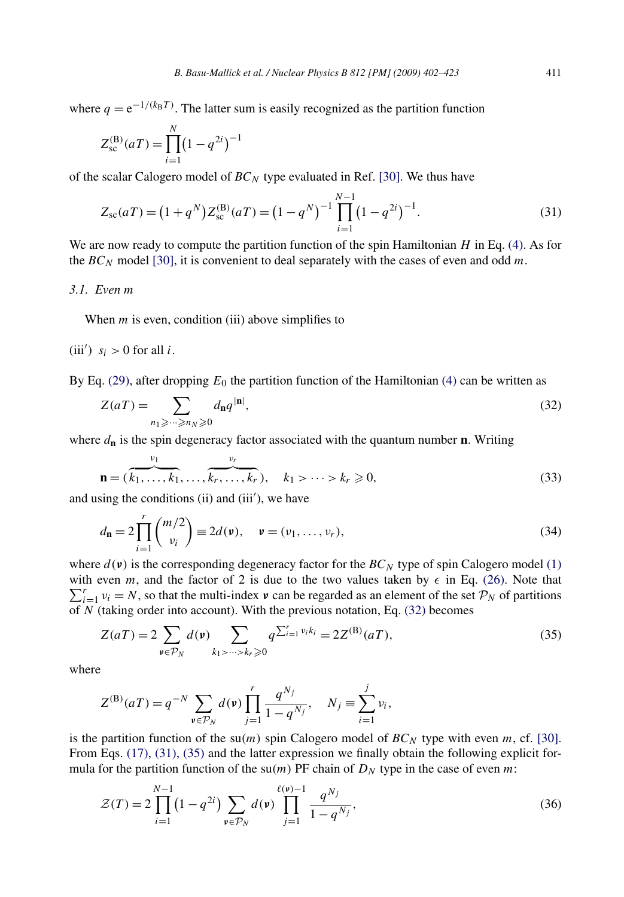<span id="page-9-0"></span>where  $q = e^{-1/(k_B T)}$ . The latter sum is easily recognized as the partition function

$$
Z_{\rm sc}^{(\rm B)}(aT) = \prod_{i=1}^{N} (1 - q^{2i})^{-1}
$$

of the scalar Calogero model of *BC<sup>N</sup>* type evaluated in Ref. [\[30\].](#page-20-0) We thus have

$$
Z_{\rm sc}(aT) = (1+q^N)Z_{\rm sc}^{(\rm B)}(aT) = (1-q^N)^{-1} \prod_{i=1}^{N-1} (1-q^{2i})^{-1}.
$$
 (31)

We are now ready to compute the partition function of the spin Hamiltonian *H* in Eq. [\(4\).](#page-3-0) As for the  $BC_N$  model [\[30\],](#page-20-0) it is convenient to deal separately with the cases of even and odd m.

# *3.1. Even m*

When *m* is even, condition (iii) above simplifies to

# (iii')  $s_i > 0$  for all *i*.

By Eq.  $(29)$ , after dropping  $E_0$  the partition function of the Hamiltonian  $(4)$  can be written as

$$
Z(aT) = \sum_{n_1 \ge \dots \ge n_N \ge 0} d_{\mathbf{n}} q^{|\mathbf{n}|},\tag{32}
$$

where  $d_{\bf n}$  is the spin degeneracy factor associated with the quantum number **n**. Writing

$$
\mathbf{n} = (\overbrace{k_1, \ldots, k_1}^{v_1}, \ldots, \overbrace{k_r, \ldots, k_r}^{v_r}), \quad k_1 > \cdots > k_r \geqslant 0,
$$
\n
$$
(33)
$$

and using the conditions (ii) and (iii'), we have

$$
d_{\mathbf{n}} = 2 \prod_{i=1}^{r} {m/2 \choose v_i} \equiv 2d(\mathbf{v}), \quad \mathbf{v} = (v_1, \dots, v_r),
$$
 (34)

where  $d(\mathbf{v})$  is the corresponding degeneracy factor for the  $BC_N$  type of spin Calogero model [\(1\)](#page-2-0) with even m, and the factor of 2 is due to the two values taken by  $\epsilon$  in Eq. (26). Note that with even *m*, and the factor of 2 is due to the two values taken by  $\epsilon$  in Eq. [\(26\).](#page-7-0) Note that  $\sum_{i=1}^{r} v_i = N$ , so that the multi-index  $\nu$  can be regarded as an element of the set  $\mathcal{P}_N$  of partitions of *N* (taking order into account). With the previous notation, Eq. (32) becomes

$$
Z(aT) = 2 \sum_{\nu \in P_N} d(\nu) \sum_{k_1 > \dots > k_r \ge 0} q^{\sum_{i=1}^r \nu_i k_i} = 2Z^{(\mathbf{B})}(aT),
$$
\n(35)

where

$$
Z^{(B)}(aT) = q^{-N} \sum_{\mathbf{v} \in \mathcal{P}_N} d(\mathbf{v}) \prod_{j=1}^r \frac{q^{N_j}}{1 - q^{N_j}}, \quad N_j \equiv \sum_{i=1}^j v_i,
$$

is the partition function of the su $(m)$  spin Calogero model of  $BC_N$  type with even *m*, cf. [\[30\].](#page-20-0) From Eqs. [\(17\), \(31\), \(35\)](#page-6-0) and the latter expression we finally obtain the following explicit formula for the partition function of the  $su(m)$  PF chain of  $D<sub>N</sub>$  type in the case of even *m*:

$$
\mathcal{Z}(T) = 2 \prod_{i=1}^{N-1} \left( 1 - q^{2i} \right) \sum_{\mathbf{v} \in \mathcal{P}_N} d(\mathbf{v}) \prod_{j=1}^{\ell(\mathbf{v})-1} \frac{q^{N_j}}{1 - q^{N_j}},\tag{36}
$$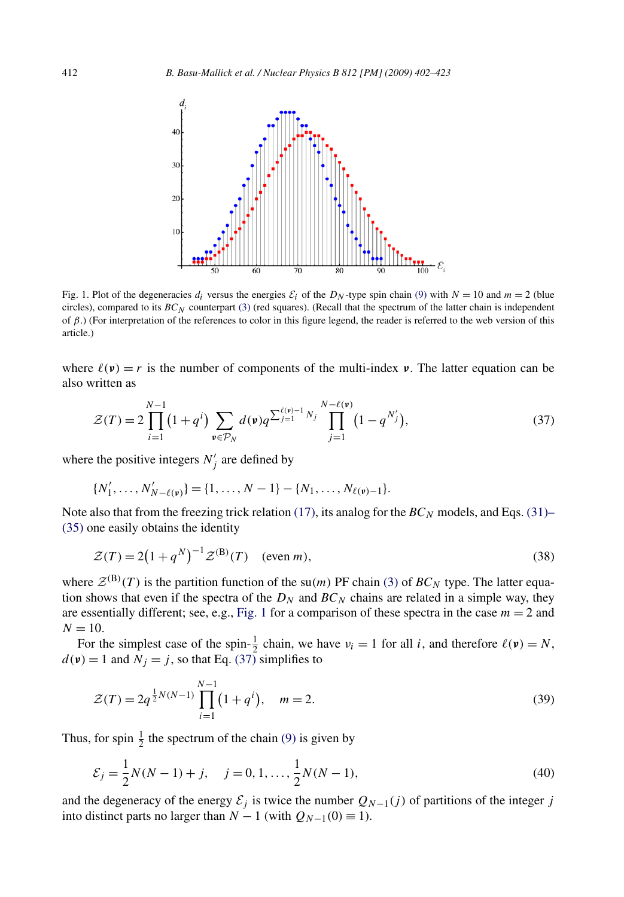<span id="page-10-0"></span>

Fig. 1. Plot of the degeneracies  $d_i$  versus the energies  $\mathcal{E}_i$  of the  $D_N$ -type spin chain [\(9\)](#page-4-0) with  $N = 10$  and  $m = 2$  (blue circles), compared to its  $BC_N$  counterpart [\(3\)](#page-3-0) (red squares). (Recall that the spectrum of the latter chain is independent of *β*.) (For interpretation of the references to color in this figure legend, the reader is referred to the web version of this article.)

where  $\ell(\nu) = r$  is the number of components of the multi-index  $\nu$ . The latter equation can be also written as

$$
\mathcal{Z}(T) = 2 \prod_{i=1}^{N-1} (1+q^i) \sum_{\mathbf{v} \in \mathcal{P}_N} d(\mathbf{v}) q^{\sum_{j=1}^{\ell(\mathbf{v})-1} N_j} \prod_{j=1}^{N-\ell(\mathbf{v})} (1-q^{N'_j}), \tag{37}
$$

where the positive integers  $N'_j$  are defined by

$$
\{N'_1,\ldots,N'_{N-\ell(\mathfrak{v})}\}=\{1,\ldots,N-1\}-\{N_1,\ldots,N_{\ell(\mathfrak{v})-1}\}.
$$

Note also that from the freezing trick relation [\(17\),](#page-6-0) its analog for the  $BC_N$  models, and Eqs. [\(31\)–](#page-9-0) [\(35\)](#page-9-0) one easily obtains the identity

$$
\mathcal{Z}(T) = 2\left(1 + q^N\right)^{-1} \mathcal{Z}^{(\mathrm{B})}(T) \quad \text{(even } m),\tag{38}
$$

where  $Z^{(B)}(T)$  is the partition function of the su(*m*) PF chain [\(3\)](#page-3-0) of  $BC_N$  type. The latter equation shows that even if the spectra of the  $D_N$  and  $BC_N$  chains are related in a simple way, they are essentially different; see, e.g., Fig. 1 for a comparison of these spectra in the case  $m = 2$  and  $N = 10$ .

For the simplest case of the spin- $\frac{1}{2}$  chain, we have  $v_i = 1$  for all *i*, and therefore  $\ell(\mathbf{v}) = N$ ,  $d(\mathbf{v}) = 1$  and  $N_j = j$ , so that Eq. (37) simplifies to

$$
\mathcal{Z}(T) = 2q^{\frac{1}{2}N(N-1)} \prod_{i=1}^{N-1} (1+q^i), \quad m = 2.
$$
 (39)

Thus, for spin  $\frac{1}{2}$  the spectrum of the chain [\(9\)](#page-4-0) is given by

$$
\mathcal{E}_j = \frac{1}{2}N(N-1) + j, \quad j = 0, 1, \dots, \frac{1}{2}N(N-1),
$$
\n(40)

and the degeneracy of the energy  $\mathcal{E}_j$  is twice the number  $Q_{N-1}(j)$  of partitions of the integer *j* into distinct parts no larger than  $N - 1$  (with  $Q_{N-1}(0) \equiv 1$ ).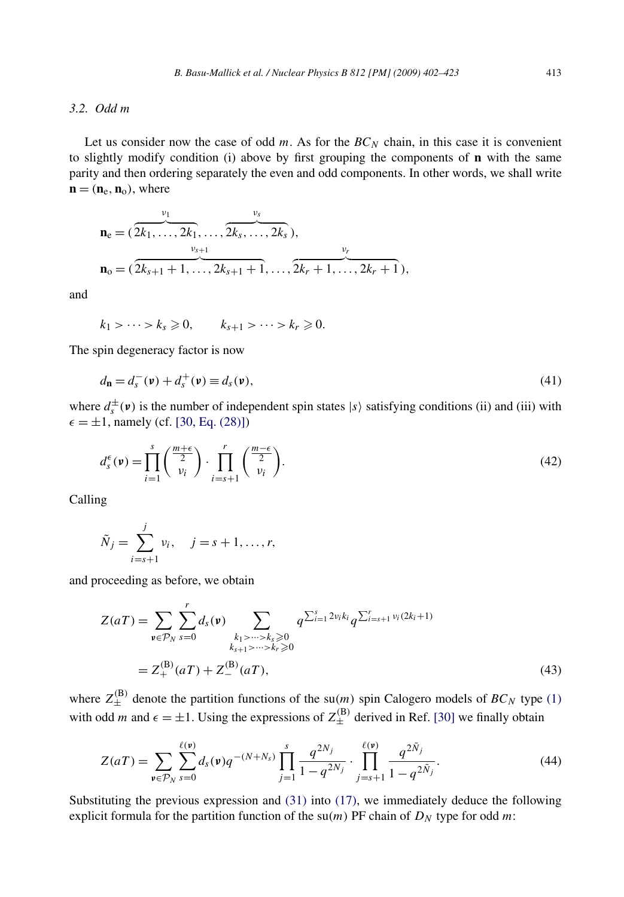# *3.2. Odd m*

Let us consider now the case of odd  $m$ . As for the  $BC_N$  chain, in this case it is convenient to slightly modify condition (i) above by first grouping the components of **n** with the same parity and then ordering separately the even and odd components. In other words, we shall write  $\mathbf{n} = (\mathbf{n}_e, \mathbf{n}_o)$ , where

$$
\mathbf{n}_{e} = (\overbrace{2k_{1}, \ldots, 2k_{1}}^{v_{1}}, \ldots, \overbrace{2k_{s}, \ldots, 2k_{s}}^{v_{s}}),
$$
\n
$$
\mathbf{n}_{o} = (\overbrace{2k_{s+1}+1, \ldots, 2k_{s+1}+1}^{v_{s+1}}, \ldots, \overbrace{2k_{r}+1, \ldots, 2k_{r}+1}^{v_{r}}),
$$

and

$$
k_1 > \cdots > k_s \geqslant 0, \qquad k_{s+1} > \cdots > k_r \geqslant 0.
$$

The spin degeneracy factor is now

$$
d_{\mathbf{n}} = d_s^-(\mathbf{v}) + d_s^+(\mathbf{v}) \equiv d_s(\mathbf{v}),\tag{41}
$$

where  $d_s^{\pm}(\nu)$  is the number of independent spin states  $|s\rangle$  satisfying conditions (ii) and (iii) with  $\epsilon = \pm 1$ , namely (cf. [\[30, Eq. \(28\)\]\)](#page-20-0)

$$
d_s^{\epsilon}(\mathbf{v}) = \prod_{i=1}^s \left(\frac{\frac{m+\epsilon}{2}}{\nu_i}\right) \cdot \prod_{i=s+1}^r \left(\frac{\frac{m-\epsilon}{2}}{\nu_i}\right). \tag{42}
$$

Calling

$$
\tilde{N}_j = \sum_{i=s+1}^j v_i, \quad j = s+1, \dots, r,
$$

and proceeding as before, we obtain

$$
Z(aT) = \sum_{\mathbf{v} \in \mathcal{P}_N} \sum_{s=0}^r d_s(\mathbf{v}) \sum_{\substack{k_1 > \dots > k_s \geq 0 \\ k_{s+1} > \dots > k_r \geq 0}} q^{\sum_{i=1}^s 2\nu_i k_i} q^{\sum_{i=s+1}^r \nu_i (2k_i+1)}
$$
  
=  $Z_+^{(B)}(aT) + Z_-^{(B)}(aT),$  (43)

where  $Z_{\pm}^{(B)}$  denote the partition functions of the su(*m*) spin Calogero models of  $BC_N$  type [\(1\)](#page-2-0) with odd *m* and  $\epsilon = \pm 1$ . Using the expressions of  $Z_{\pm}^{(B)}$  derived in Ref. [\[30\]](#page-20-0) we finally obtain

$$
Z(aT) = \sum_{\mathbf{v} \in \mathcal{P}_N} \sum_{s=0}^{\ell(\mathbf{v})} d_s(\mathbf{v}) q^{-(N+N_s)} \prod_{j=1}^s \frac{q^{2N_j}}{1-q^{2N_j}} \cdot \prod_{j=s+1}^{\ell(\mathbf{v})} \frac{q^{2\tilde{N}_j}}{1-q^{2\tilde{N}_j}}.
$$
(44)

Substituting the previous expression and [\(31\)](#page-9-0) into [\(17\),](#page-6-0) we immediately deduce the following explicit formula for the partition function of the  $su(m)$  PF chain of  $D<sub>N</sub>$  type for odd m: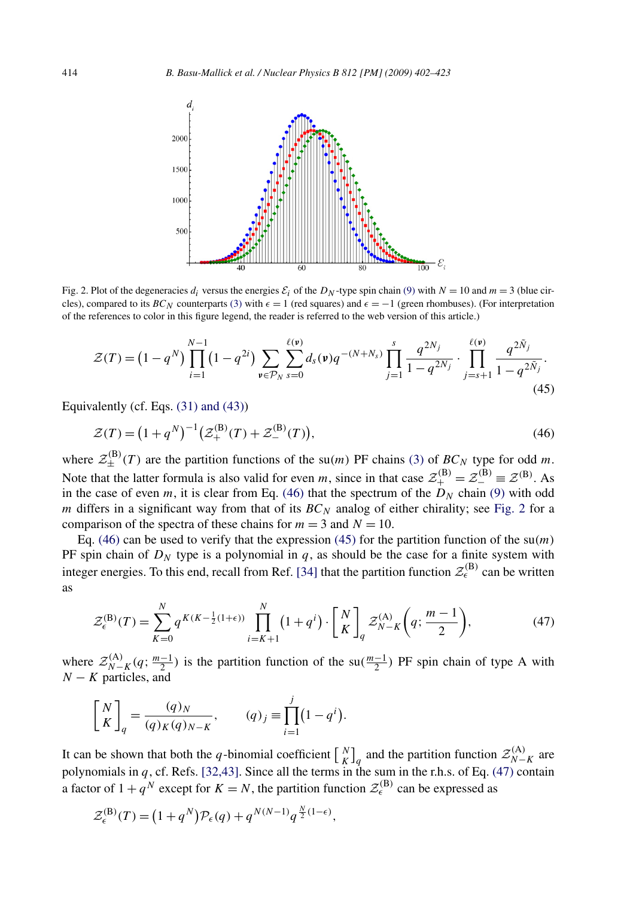<span id="page-12-0"></span>

Fig. 2. Plot of the degeneracies  $d_i$  versus the energies  $\mathcal{E}_i$  of the  $D_N$ -type spin chain [\(9\)](#page-4-0) with  $N = 10$  and  $m = 3$  (blue circles), compared to its *BC<sub>N</sub>* counterparts [\(3\)](#page-3-0) with  $\epsilon = 1$  (red squares) and  $\epsilon = -1$  (green rhombuses). (For interpretation of the references to color in this figure legend, the reader is referred to the web version of this article.)

$$
\mathcal{Z}(T) = \left(1 - q^N\right) \prod_{i=1}^{N-1} \left(1 - q^{2i}\right) \sum_{\mathbf{v} \in \mathcal{P}_N} \sum_{s=0}^{\ell(\mathbf{v})} d_s(\mathbf{v}) q^{-(N+N_s)} \prod_{j=1}^s \frac{q^{2N_j}}{1 - q^{2N_j}} \cdot \prod_{j=s+1}^{\ell(\mathbf{v})} \frac{q^{2\tilde{N}_j}}{1 - q^{2\tilde{N}_j}}.
$$
\n(45)

Equivalently (cf. Eqs. [\(31\) and \(43\)\)](#page-9-0)

$$
\mathcal{Z}(T) = \left(1 + q^N\right)^{-1} \left(\mathcal{Z}_+^{(\mathbf{B})}(T) + \mathcal{Z}_-^{(\mathbf{B})}(T)\right),\tag{46}
$$

where  $\mathcal{Z}_{\pm}^{(B)}(T)$  are the partition functions of the su $(m)$  PF chains [\(3\)](#page-3-0) of  $BC_N$  type for odd *m*. Note that the latter formula is also valid for even *m*, since in that case  $\mathcal{Z}_{+}^{(\mathbf{B})} = \mathcal{Z}_{-}^{(\mathbf{B})} = \mathcal{Z}^{(\mathbf{B})}$ . As in the case of even *m*, it is clear from Eq. (46) that the spectrum of the  $D<sub>N</sub>$  chain [\(9\)](#page-4-0) with odd *m* differs in a significant way from that of its *BC<sup>N</sup>* analog of either chirality; see Fig. 2 for a comparison of the spectra of these chains for  $m = 3$  and  $N = 10$ .

Eq. (46) can be used to verify that the expression (45) for the partition function of the  $su(m)$ PF spin chain of  $D_N$  type is a polynomial in  $q$ , as should be the case for a finite system with integer energies. To this end, recall from Ref. [\[34\]](#page-20-0) that the partition function  $\mathcal{Z}_{\epsilon}^{(B)}$  can be written as

$$
\mathcal{Z}_{\epsilon}^{(\mathbf{B})}(T) = \sum_{K=0}^{N} q^{K(K - \frac{1}{2}(1+\epsilon))} \prod_{i=K+1}^{N} \left(1 + q^{i}\right) \cdot \left[\frac{N}{K}\right]_{q} \mathcal{Z}_{N-K}^{(\mathbf{A})}\left(q; \frac{m-1}{2}\right),\tag{47}
$$

where  $\mathcal{Z}_{N-K}^{(A)}(q; \frac{m-1}{2})$  is the partition function of the su $(\frac{m-1}{2})$  PF spin chain of type A with *N* − *K* particles, and

$$
\begin{bmatrix} N \\ K \end{bmatrix}_q = \frac{(q)_N}{(q)_K (q)_{N-K}}, \qquad (q)_j \equiv \prod_{i=1}^j (1 - q^i).
$$

It can be shown that both the *q*-binomial coefficient  $\begin{bmatrix} N \\ K \end{bmatrix}_q$  and the partition function  $\mathcal{Z}_{N-K}^{(A)}$  are polynomials in *q*, cf. Refs. [\[32,43\].](#page-20-0) Since all the terms in the sum in the r.h.s. of Eq. (47) contain a factor of  $1 + q^N$  except for  $K = N$ , the partition function  $\mathcal{Z}_{\epsilon}^{(B)}$  can be expressed as

$$
\mathcal{Z}_{\epsilon}^{(\mathbf{B})}(T) = (1+q^N)\mathcal{P}_{\epsilon}(q) + q^{N(N-1)}q^{\frac{N}{2}(1-\epsilon)},
$$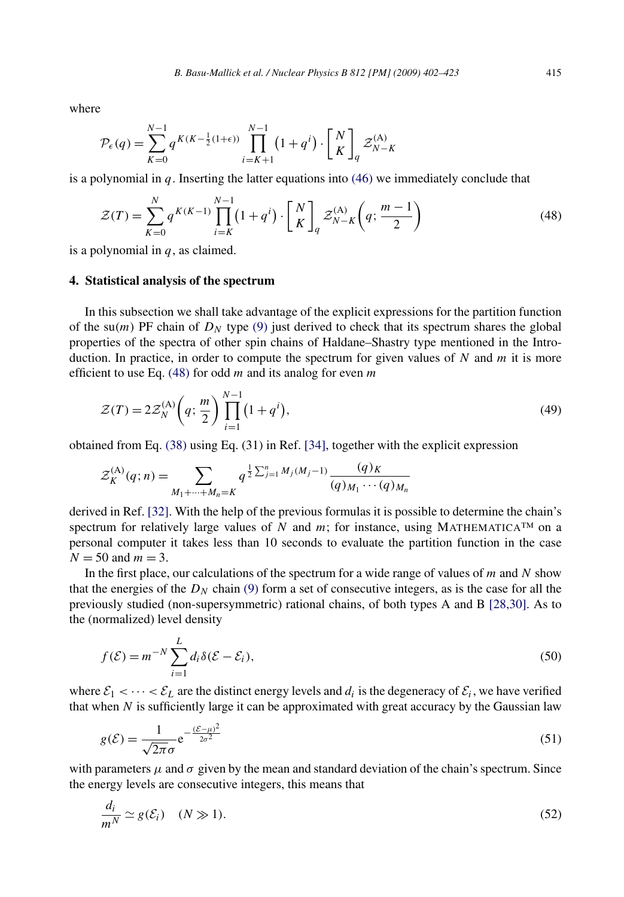<span id="page-13-0"></span>where

$$
\mathcal{P}_{\epsilon}(q) = \sum_{K=0}^{N-1} q^{K(K-\frac{1}{2}(1+\epsilon))} \prod_{i=K+1}^{N-1} \left(1+q^{i}\right) \cdot \left[\begin{matrix}N\\K\end{matrix}\right]_{q} \mathcal{Z}_{N-K}^{(\mathrm{A})}
$$

is a polynomial in *q*. Inserting the latter equations into [\(46\)](#page-12-0) we immediately conclude that

$$
\mathcal{Z}(T) = \sum_{K=0}^{N} q^{K(K-1)} \prod_{i=K}^{N-1} \left( 1 + q^i \right) \cdot \left[ \begin{array}{c} N \\ K \end{array} \right]_q \mathcal{Z}_{N-K}^{(\mathbf{A})} \left( q; \frac{m-1}{2} \right) \tag{48}
$$

is a polynomial in *q*, as claimed.

#### **4. Statistical analysis of the spectrum**

In this subsection we shall take advantage of the explicit expressions for the partition function of the su(*m*) PF chain of  $D<sub>N</sub>$  type [\(9\)](#page-4-0) just derived to check that its spectrum shares the global properties of the spectra of other spin chains of Haldane–Shastry type mentioned in the Introduction. In practice, in order to compute the spectrum for given values of *N* and *m* it is more efficient to use Eq. (48) for odd *m* and its analog for even *m*

$$
\mathcal{Z}(T) = 2\mathcal{Z}_N^{(A)}\left(q; \frac{m}{2}\right) \prod_{i=1}^{N-1} \left(1 + q^i\right),\tag{49}
$$

obtained from Eq. [\(38\)](#page-10-0) using Eq. (31) in Ref. [\[34\],](#page-20-0) together with the explicit expression

$$
\mathcal{Z}_{K}^{(A)}(q;n) = \sum_{M_1 + \dots + M_n = K} q^{\frac{1}{2} \sum_{j=1}^n M_j(M_j - 1)} \frac{(q)_K}{(q)_{M_1} \cdots (q)_{M_n}}
$$

derived in Ref. [\[32\].](#page-20-0) With the help of the previous formulas it is possible to determine the chain's spectrum for relatively large values of *N* and *m*; for instance, using MATHEMATICA<sup>TM</sup> on a personal computer it takes less than 10 seconds to evaluate the partition function in the case  $N = 50$  and  $m = 3$ .

In the first place, our calculations of the spectrum for a wide range of values of *m* and *N* show that the energies of the  $D<sub>N</sub>$  chain [\(9\)](#page-4-0) form a set of consecutive integers, as is the case for all the previously studied (non-supersymmetric) rational chains, of both types A and B [\[28,30\].](#page-20-0) As to the (normalized) level density

$$
f(\mathcal{E}) = m^{-N} \sum_{i=1}^{L} d_i \delta(\mathcal{E} - \mathcal{E}_i),
$$
\n(50)

where  $\mathcal{E}_1 < \cdots < \mathcal{E}_L$  are the distinct energy levels and  $d_i$  is the degeneracy of  $\mathcal{E}_i$ , we have verified that when *N* is sufficiently large it can be approximated with great accuracy by the Gaussian law

$$
g(\mathcal{E}) = \frac{1}{\sqrt{2\pi}\sigma} e^{-\frac{(\mathcal{E} - \mu)^2}{2\sigma^2}}
$$
(51)

with parameters  $\mu$  and  $\sigma$  given by the mean and standard deviation of the chain's spectrum. Since the energy levels are consecutive integers, this means that

$$
\frac{d_i}{m^N} \simeq g(\mathcal{E}_i) \quad (N \gg 1). \tag{52}
$$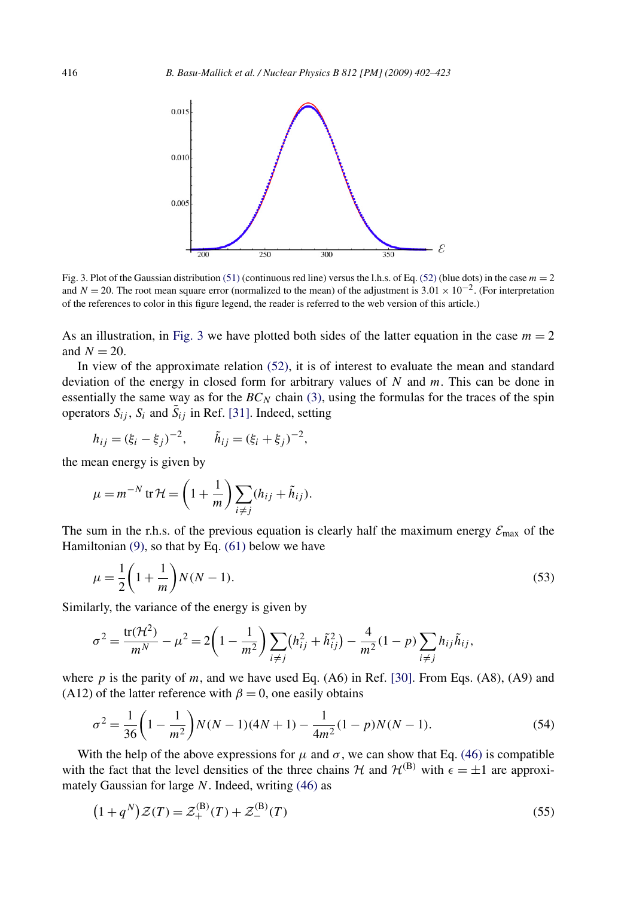<span id="page-14-0"></span>

Fig. 3. Plot of the Gaussian distribution [\(51\)](#page-13-0) (continuous red line) versus the l.h.s. of Eq. [\(52\)](#page-13-0) (blue dots) in the case  $m = 2$ and  $N = 20$ . The root mean square error (normalized to the mean) of the adjustment is  $3.01 \times 10^{-2}$ . (For interpretation of the references to color in this figure legend, the reader is referred to the web version of this article.)

As an illustration, in Fig. 3 we have plotted both sides of the latter equation in the case  $m = 2$ and  $N = 20$ .

In view of the approximate relation [\(52\),](#page-13-0) it is of interest to evaluate the mean and standard deviation of the energy in closed form for arbitrary values of *N* and *m*. This can be done in essentially the same way as for the  $BC_N$  chain [\(3\),](#page-3-0) using the formulas for the traces of the spin operators  $S_{ij}$ ,  $S_i$  and  $\tilde{S}_{ij}$  in Ref. [\[31\].](#page-20-0) Indeed, setting

$$
h_{ij} = (\xi_i - \xi_j)^{-2}, \qquad \tilde{h}_{ij} = (\xi_i + \xi_j)^{-2},
$$

the mean energy is given by

$$
\mu = m^{-N} \operatorname{tr} \mathcal{H} = \left(1 + \frac{1}{m}\right) \sum_{i \neq j} (h_{ij} + \tilde{h}_{ij}).
$$

The sum in the r.h.s. of the previous equation is clearly half the maximum energy  $\mathcal{E}_{\text{max}}$  of the Hamiltonian  $(9)$ , so that by Eq.  $(61)$  below we have

$$
\mu = \frac{1}{2} \left( 1 + \frac{1}{m} \right) N(N - 1). \tag{53}
$$

Similarly, the variance of the energy is given by

$$
\sigma^2 = \frac{\text{tr}(\mathcal{H}^2)}{m^N} - \mu^2 = 2\left(1 - \frac{1}{m^2}\right) \sum_{i \neq j} \left(h_{ij}^2 + \tilde{h}_{ij}^2\right) - \frac{4}{m^2} (1 - p) \sum_{i \neq j} h_{ij} \tilde{h}_{ij},
$$

where  $p$  is the parity of  $m$ , and we have used Eq. (A6) in Ref. [\[30\].](#page-20-0) From Eqs. (A8), (A9) and (A12) of the latter reference with  $\beta = 0$ , one easily obtains

$$
\sigma^2 = \frac{1}{36} \left( 1 - \frac{1}{m^2} \right) N(N-1)(4N+1) - \frac{1}{4m^2} (1-p) N(N-1).
$$
 (54)

With the help of the above expressions for  $\mu$  and  $\sigma$ , we can show that Eq. [\(46\)](#page-12-0) is compatible with the fact that the level densities of the three chains  $H$  and  $H^{(B)}$  with  $\epsilon = \pm 1$  are approximately Gaussian for large *N*. Indeed, writing [\(46\)](#page-12-0) as

$$
(1+q^N)\mathcal{Z}(T) = \mathcal{Z}_+^{(\mathbf{B})}(T) + \mathcal{Z}_-^{(\mathbf{B})}(T)
$$
\n(55)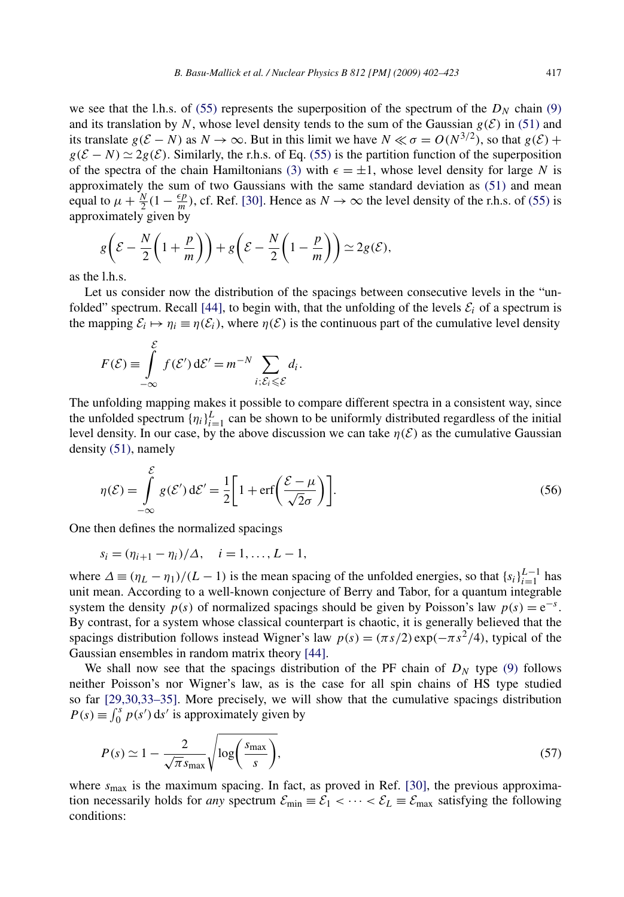<span id="page-15-0"></span>we see that the l.h.s. of [\(55\)](#page-14-0) represents the superposition of the spectrum of the  $D<sub>N</sub>$  chain [\(9\)](#page-4-0) and its translation by *N*, whose level density tends to the sum of the Gaussian  $g(E)$  in [\(51\)](#page-13-0) and its translate  $g(\mathcal{E} - N)$  as  $N \to \infty$ . But in this limit we have  $N \ll \sigma = O(N^{3/2})$ , so that  $g(\mathcal{E})$  +  $g(\mathcal{E} - N) \simeq 2g(\mathcal{E})$ . Similarly, the r.h.s. of Eq. [\(55\)](#page-14-0) is the partition function of the superposition of the spectra of the chain Hamiltonians [\(3\)](#page-3-0) with  $\epsilon = \pm 1$ , whose level density for large *N* is approximately the sum of two Gaussians with the same standard deviation as [\(51\)](#page-13-0) and mean equal to  $\mu + \frac{N}{2}(1 - \frac{\epsilon p}{m})$ , cf. Ref. [\[30\].](#page-20-0) Hence as  $N \to \infty$  the level density of the r.h.s. of [\(55\)](#page-14-0) is approximately given by

$$
g\left(\mathcal{E} - \frac{N}{2}\left(1 + \frac{p}{m}\right)\right) + g\left(\mathcal{E} - \frac{N}{2}\left(1 - \frac{p}{m}\right)\right) \simeq 2g(\mathcal{E}),
$$

as the l.h.s.

Let us consider now the distribution of the spacings between consecutive levels in the "un-folded" spectrum. Recall [\[44\],](#page-21-0) to begin with, that the unfolding of the levels  $\mathcal{E}_i$  of a spectrum is the mapping  $\mathcal{E}_i \mapsto \eta_i \equiv \eta(\mathcal{E}_i)$ , where  $\eta(\mathcal{E})$  is the continuous part of the cumulative level density

$$
F(\mathcal{E}) \equiv \int_{-\infty}^{\mathcal{E}} f(\mathcal{E}') d\mathcal{E}' = m^{-N} \sum_{i; \mathcal{E}_i \leq \mathcal{E}} d_i.
$$

The unfolding mapping makes it possible to compare different spectra in a consistent way, since the unfolded spectrum  $\{\eta_i\}_{i=1}^L$  can be shown to be uniformly distributed regardless of the initial level density. In our case, by the above discussion we can take  $\eta(\mathcal{E})$  as the cumulative Gaussian density [\(51\),](#page-13-0) namely

$$
\eta(\mathcal{E}) = \int_{-\infty}^{\mathcal{E}} g(\mathcal{E}') d\mathcal{E}' = \frac{1}{2} \bigg[ 1 + \text{erf}\bigg(\frac{\mathcal{E} - \mu}{\sqrt{2}\sigma}\bigg) \bigg].
$$
\n(56)

One then defines the normalized spacings

 $\overline{a}$ 

$$
s_i = (\eta_{i+1} - \eta_i)/\Delta, \quad i = 1, ..., L - 1,
$$

where  $\Delta \equiv (\eta_L - \eta_1)/(L - 1)$  is the mean spacing of the unfolded energies, so that  $\{s_i\}_{i=1}^{L-1}$  has unit mean. According to a well-known conjecture of Berry and Tabor, for a quantum integrable system the density  $p(s)$  of normalized spacings should be given by Poisson's law  $p(s) = e^{-s}$ . By contrast, for a system whose classical counterpart is chaotic, it is generally believed that the spacings distribution follows instead Wigner's law  $p(s) = (\pi s/2) \exp(-\pi s^2/4)$ , typical of the Gaussian ensembles in random matrix theory [\[44\].](#page-21-0)

We shall now see that the spacings distribution of the PF chain of  $D<sub>N</sub>$  type [\(9\)](#page-4-0) follows neither Poisson's nor Wigner's law, as is the case for all spin chains of HS type studied so far [\[29,30,33–35\].](#page-20-0) More precisely, we will show that the cumulative spacings distribution  $P(s) \equiv \int_0^s p(s') ds'$  is approximately given by

$$
P(s) \simeq 1 - \frac{2}{\sqrt{\pi} s_{\text{max}}} \sqrt{\log \left( \frac{s_{\text{max}}}{s} \right)},\tag{57}
$$

where  $s_{\text{max}}$  is the maximum spacing. In fact, as proved in Ref. [\[30\],](#page-20-0) the previous approximation necessarily holds for *any* spectrum  $\mathcal{E}_{min} \equiv \mathcal{E}_1 < \cdots < \mathcal{E}_L \equiv \mathcal{E}_{max}$  satisfying the following conditions: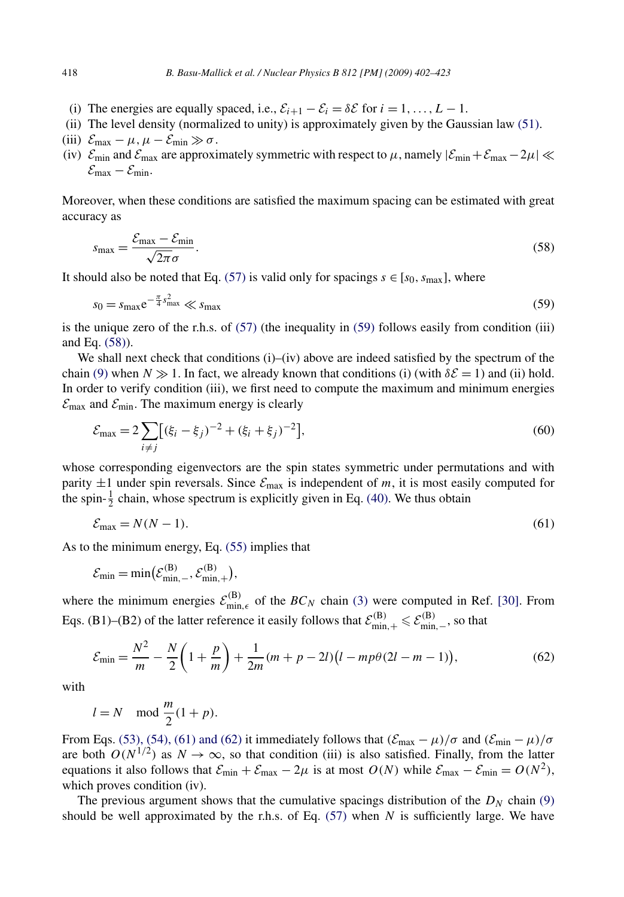- <span id="page-16-0"></span>(i) The energies are equally spaced, i.e.,  $\mathcal{E}_{i+1} - \mathcal{E}_i = \delta \mathcal{E}$  for  $i = 1, \ldots, L - 1$ .
- (ii) The level density (normalized to unity) is approximately given by the Gaussian law [\(51\).](#page-13-0)
- (iii)  $\mathcal{E}_{\text{max}} \mu$ ,  $\mu \mathcal{E}_{\text{min}} \gg \sigma$ .
- (iv)  $\mathcal{E}_{min}$  and  $\mathcal{E}_{max}$  are approximately symmetric with respect to  $\mu$ , namely  $|\mathcal{E}_{min}+\mathcal{E}_{max}-2\mu| \ll$  $\mathcal{E}_{\text{max}} - \mathcal{E}_{\text{min}}.$

Moreover, when these conditions are satisfied the maximum spacing can be estimated with great accuracy as

$$
s_{\text{max}} = \frac{\mathcal{E}_{\text{max}} - \mathcal{E}_{\text{min}}}{\sqrt{2\pi}\sigma}.
$$
\n(58)

It should also be noted that Eq. [\(57\)](#page-15-0) is valid only for spacings  $s \in [s_0, s_{\text{max}}]$ , where

$$
s_0 = s_{\text{max}} \mathrm{e}^{-\frac{\pi}{4} s_{\text{max}}^2} \ll s_{\text{max}} \tag{59}
$$

is the unique zero of the r.h.s. of [\(57\)](#page-15-0) (the inequality in (59) follows easily from condition (iii) and Eq. (58)).

We shall next check that conditions (i)–(iv) above are indeed satisfied by the spectrum of the chain [\(9\)](#page-4-0) when  $N \gg 1$ . In fact, we already known that conditions (i) (with  $\delta \mathcal{E} = 1$ ) and (ii) hold. In order to verify condition (iii), we first need to compute the maximum and minimum energies  $\mathcal{E}_{\text{max}}$  and  $\mathcal{E}_{\text{min}}$ . The maximum energy is clearly

$$
\mathcal{E}_{\text{max}} = 2 \sum_{i \neq j} \left[ (\xi_i - \xi_j)^{-2} + (\xi_i + \xi_j)^{-2} \right],\tag{60}
$$

whose corresponding eigenvectors are the spin states symmetric under permutations and with parity  $\pm 1$  under spin reversals. Since  $\mathcal{E}_{\text{max}}$  is independent of *m*, it is most easily computed for the spin- $\frac{1}{2}$  chain, whose spectrum is explicitly given in Eq. [\(40\).](#page-10-0) We thus obtain

$$
\mathcal{E}_{\text{max}} = N(N-1). \tag{61}
$$

As to the minimum energy, Eq. [\(55\)](#page-14-0) implies that

$$
\mathcal{E}_{\min} = \min(\mathcal{E}_{\min,-}^{(B)}, \mathcal{E}_{\min,+}^{(B)}),
$$

where the minimum energies  $\mathcal{E}_{\min,\epsilon}^{(B)}$  of the  $BC_N$  chain [\(3\)](#page-3-0) were computed in Ref. [\[30\].](#page-20-0) From Eqs. (B1)–(B2) of the latter reference it easily follows that  $\mathcal{E}_{\min,+}^{(B)} \leq \mathcal{E}_{\min,-}^{(B)}$ , so that

$$
\mathcal{E}_{\min} = \frac{N^2}{m} - \frac{N}{2} \left( 1 + \frac{p}{m} \right) + \frac{1}{2m} (m + p - 2l) \left( l - mp\theta (2l - m - 1) \right),\tag{62}
$$

with

$$
l = N \mod \frac{m}{2}(1+p).
$$

From Eqs. [\(53\), \(54\), \(61\) and \(62\)](#page-14-0) it immediately follows that  $(\mathcal{E}_{\text{max}} - \mu)/\sigma$  and  $(\mathcal{E}_{\text{min}} - \mu)/\sigma$ are both  $O(N^{1/2})$  as  $N \to \infty$ , so that condition (iii) is also satisfied. Finally, from the latter equations it also follows that  $\mathcal{E}_{min} + \mathcal{E}_{max} - 2\mu$  is at most  $O(N)$  while  $\mathcal{E}_{max} - \mathcal{E}_{min} = O(N^2)$ , which proves condition (iv).

The previous argument shows that the cumulative spacings distribution of the  $D<sub>N</sub>$  chain [\(9\)](#page-4-0) should be well approximated by the r.h.s. of Eq.  $(57)$  when *N* is sufficiently large. We have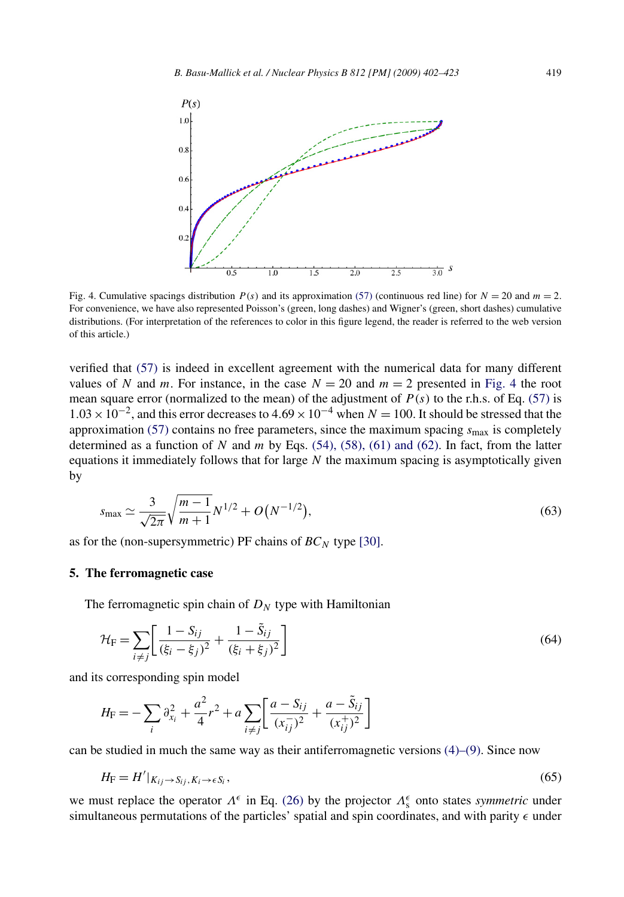<span id="page-17-0"></span>

Fig. 4. Cumulative spacings distribution  $P(s)$  and its approximation [\(57\)](#page-15-0) (continuous red line) for  $N = 20$  and  $m = 2$ . For convenience, we have also represented Poisson's (green, long dashes) and Wigner's (green, short dashes) cumulative distributions. (For interpretation of the references to color in this figure legend, the reader is referred to the web version of this article.)

verified that [\(57\)](#page-15-0) is indeed in excellent agreement with the numerical data for many different values of *N* and *m*. For instance, in the case  $N = 20$  and  $m = 2$  presented in Fig. 4 the root mean square error (normalized to the mean) of the adjustment of  $P(s)$  to the r.h.s. of Eq. [\(57\)](#page-15-0) is  $1.03 \times 10^{-2}$ , and this error decreases to  $4.69 \times 10^{-4}$  when  $N = 100$ . It should be stressed that the approximation [\(57\)](#page-15-0) contains no free parameters, since the maximum spacing  $s_{\text{max}}$  is completely determined as a function of *N* and *m* by Eqs. [\(54\), \(58\), \(61\) and \(62\).](#page-14-0) In fact, from the latter equations it immediately follows that for large *N* the maximum spacing is asymptotically given by

$$
s_{\max} \simeq \frac{3}{\sqrt{2\pi}} \sqrt{\frac{m-1}{m+1}} N^{1/2} + O(N^{-1/2}),\tag{63}
$$

as for the (non-supersymmetric) PF chains of *BC<sup>N</sup>* type [\[30\].](#page-20-0)

#### **5. The ferromagnetic case**

The ferromagnetic spin chain of  $D<sub>N</sub>$  type with Hamiltonian

$$
\mathcal{H}_{\rm F} = \sum_{i \neq j} \left[ \frac{1 - S_{ij}}{(\xi_i - \xi_j)^2} + \frac{1 - \tilde{S}_{ij}}{(\xi_i + \xi_j)^2} \right] \tag{64}
$$

and its corresponding spin model

$$
H_{\rm F} = -\sum_{i} \partial_{x_i}^{2} + \frac{a^2}{4} r^2 + a \sum_{i \neq j} \left[ \frac{a - S_{ij}}{(x_{ij}^{-})^2} + \frac{a - \tilde{S}_{ij}}{(x_{ij}^{+})^2} \right]
$$

can be studied in much the same way as their antiferromagnetic versions  $(4)$ – $(9)$ . Since now

$$
H_{\mathcal{F}} = H'|_{K_{ij} \to S_{ij}, K_i \to \epsilon S_i},\tag{65}
$$

we must replace the operator  $\Lambda^{\epsilon}$  in Eq. [\(26\)](#page-7-0) by the projector  $\Lambda_{s}^{\epsilon}$  onto states *symmetric* under simultaneous permutations of the particles' spatial and spin coordinates, and with parity  $\epsilon$  under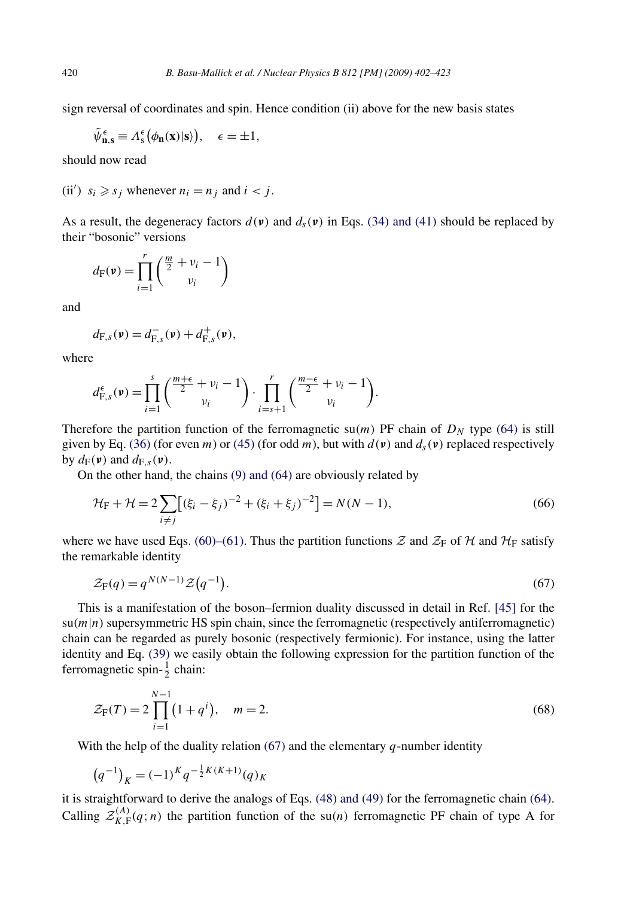<span id="page-18-0"></span>sign reversal of coordinates and spin. Hence condition (ii) above for the new basis states

$$
\tilde{\psi}_{n,s}^{\epsilon} \equiv \Lambda_s^{\epsilon} (\phi_n(x)|s\rangle), \quad \epsilon = \pm 1,
$$

should now read

(ii')  $s_i \ge s_j$  whenever  $n_i = n_j$  and  $i < j$ .

As a result, the degeneracy factors  $d(\bf{v})$  and  $d_s(\bf{v})$  in Eqs. [\(34\) and \(41\)](#page-9-0) should be replaced by their "bosonic" versions

$$
d_{\mathrm{F}}(\mathbf{v}) = \prod_{i=1}^{r} \binom{\frac{m}{2} + v_i - 1}{v_i}
$$

and

$$
d_{\mathrm{F},s}(\mathbf{v})=d_{\mathrm{F},s}^-(\mathbf{v})+d_{\mathrm{F},s}^+(\mathbf{v}),
$$

where

$$
d_{\mathrm{F},s}^{\epsilon}(\mathbf{v}) = \prod_{i=1}^{s} \binom{\frac{m+\epsilon}{2} + \nu_i - 1}{\nu_i} \cdot \prod_{i=s+1}^{r} \binom{\frac{m-\epsilon}{2} + \nu_i - 1}{\nu_i}.
$$

Therefore the partition function of the ferromagnetic su(*m*) PF chain of  $D<sub>N</sub>$  type [\(64\)](#page-17-0) is still given by Eq. [\(36\)](#page-9-0) (for even *m*) or [\(45\)](#page-12-0) (for odd *m*), but with  $d(\mathbf{v})$  and  $d_s(\mathbf{v})$  replaced respectively by  $d_F(\nu)$  and  $d_{F,s}(\nu)$ .

On the other hand, the chains [\(9\) and \(64\)](#page-4-0) are obviously related by

$$
\mathcal{H}_{\rm F} + \mathcal{H} = 2 \sum_{i \neq j} \left[ (\xi_i - \xi_j)^{-2} + (\xi_i + \xi_j)^{-2} \right] = N(N - 1),\tag{66}
$$

where we have used Eqs. [\(60\)–\(61\).](#page-16-0) Thus the partition functions  $\mathcal Z$  and  $\mathcal Z_F$  of  $\mathcal H$  and  $\mathcal H_F$  satisfy the remarkable identity

$$
\mathcal{Z}_{\mathcal{F}}(q) = q^{N(N-1)} \mathcal{Z}(q^{-1}).\tag{67}
$$

This is a manifestation of the boson–fermion duality discussed in detail in Ref. [\[45\]](#page-21-0) for the  $\text{su}(m|n)$  supersymmetric HS spin chain, since the ferromagnetic (respectively antiferromagnetic) chain can be regarded as purely bosonic (respectively fermionic). For instance, using the latter identity and Eq. [\(39\)](#page-10-0) we easily obtain the following expression for the partition function of the ferromagnetic spin- $\frac{1}{2}$  chain:

$$
\mathcal{Z}_{F}(T) = 2 \prod_{i=1}^{N-1} (1 + q^{i}), \quad m = 2.
$$
 (68)

With the help of the duality relation (67) and the elementary *q*-number identity

$$
(q^{-1})_K = (-1)^K q^{-\frac{1}{2}K(K+1)}(q)_K
$$

it is straightforward to derive the analogs of Eqs. [\(48\) and \(49\)](#page-13-0) for the ferromagnetic chain [\(64\).](#page-17-0) Calling  $\mathcal{Z}_{K,\mathrm{F}}^{(A)}(q;n)$  the partition function of the su(*n*) ferromagnetic PF chain of type A for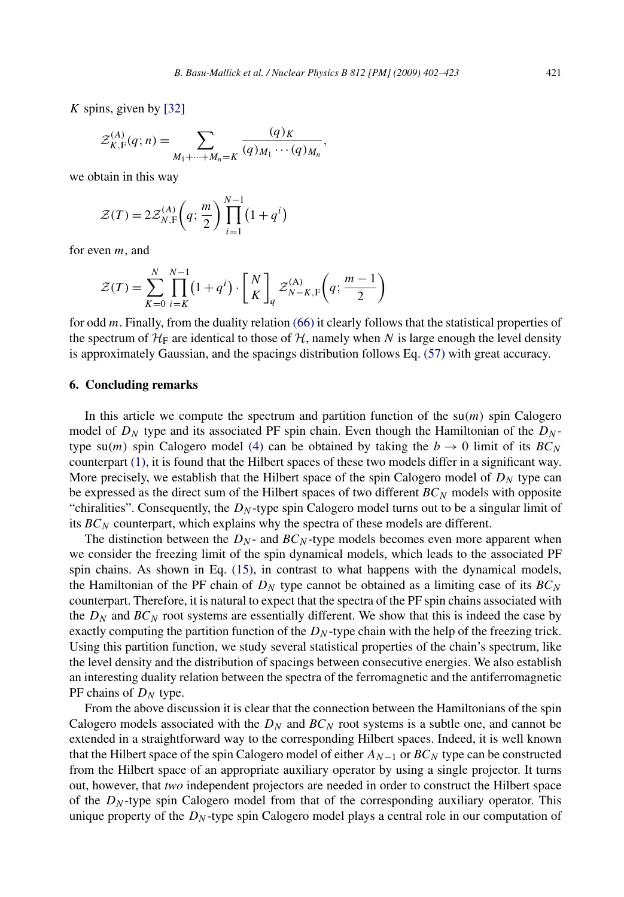*K* spins, given by [\[32\]](#page-20-0)

$$
\mathcal{Z}_{K,\mathrm{F}}^{(A)}(q;n) = \sum_{M_1 + \dots + M_n = K} \frac{(q)_K}{(q)_{M_1} \cdots (q)_{M_n}},
$$

we obtain in this way

$$
\mathcal{Z}(T) = 2\mathcal{Z}_{N,\mathrm{F}}^{(A)}\left(q; \frac{m}{2}\right) \prod_{i=1}^{N-1} \left(1 + q^i\right)
$$

for even *m*, and

$$
\mathcal{Z}(T) = \sum_{K=0}^{N} \prod_{i=K}^{N-1} \left(1 + q^i\right) \cdot \left[\begin{array}{c} N \\ K \end{array}\right]_q \mathcal{Z}_{N-K,\mathrm{F}}^{(\mathrm{A})} \left(q; \frac{m-1}{2}\right)
$$

for odd *m*. Finally, from the duality relation [\(66\)](#page-18-0) it clearly follows that the statistical properties of the spectrum of  $H_F$  are identical to those of  $H$ , namely when N is large enough the level density is approximately Gaussian, and the spacings distribution follows Eq. [\(57\)](#page-15-0) with great accuracy.

#### **6. Concluding remarks**

In this article we compute the spectrum and partition function of the  $su(m)$  spin Calogero model of  $D_N$  type and its associated PF spin chain. Even though the Hamiltonian of the  $D_N$ type su(*m*) spin Calogero model [\(4\)](#page-3-0) can be obtained by taking the  $b \rightarrow 0$  limit of its  $BC_N$ counterpart [\(1\),](#page-2-0) it is found that the Hilbert spaces of these two models differ in a significant way. More precisely, we establish that the Hilbert space of the spin Calogero model of  $D<sub>N</sub>$  type can be expressed as the direct sum of the Hilbert spaces of two different  $BC_N$  models with opposite "chiralities". Consequently, the  $D<sub>N</sub>$ -type spin Calogero model turns out to be a singular limit of its *BC<sup>N</sup>* counterpart, which explains why the spectra of these models are different.

The distinction between the  $D_N$ - and  $BC_N$ -type models becomes even more apparent when we consider the freezing limit of the spin dynamical models, which leads to the associated PF spin chains. As shown in Eq. [\(15\),](#page-5-0) in contrast to what happens with the dynamical models, the Hamiltonian of the PF chain of  $D_N$  type cannot be obtained as a limiting case of its  $BC_N$ counterpart. Therefore, it is natural to expect that the spectra of the PF spin chains associated with the  $D_N$  and  $BC_N$  root systems are essentially different. We show that this is indeed the case by exactly computing the partition function of the  $D<sub>N</sub>$ -type chain with the help of the freezing trick. Using this partition function, we study several statistical properties of the chain's spectrum, like the level density and the distribution of spacings between consecutive energies. We also establish an interesting duality relation between the spectra of the ferromagnetic and the antiferromagnetic PF chains of  $D<sub>N</sub>$  type.

From the above discussion it is clear that the connection between the Hamiltonians of the spin Calogero models associated with the  $D_N$  and  $BC_N$  root systems is a subtle one, and cannot be extended in a straightforward way to the corresponding Hilbert spaces. Indeed, it is well known that the Hilbert space of the spin Calogero model of either  $A_{N-1}$  or  $BC_N$  type can be constructed from the Hilbert space of an appropriate auxiliary operator by using a single projector. It turns out, however, that *two* independent projectors are needed in order to construct the Hilbert space of the  $D_N$ -type spin Calogero model from that of the corresponding auxiliary operator. This unique property of the  $D<sub>N</sub>$ -type spin Calogero model plays a central role in our computation of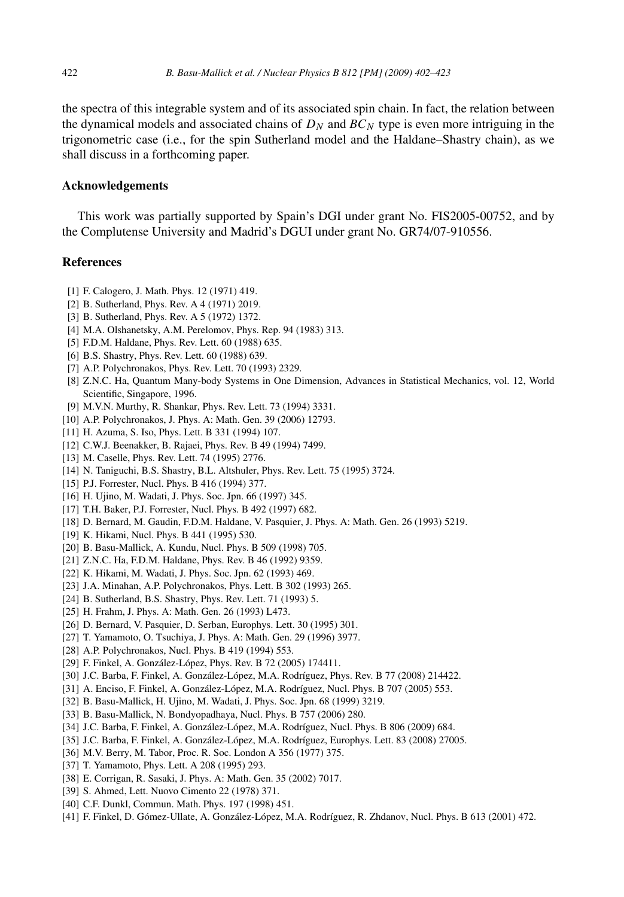<span id="page-20-0"></span>the spectra of this integrable system and of its associated spin chain. In fact, the relation between the dynamical models and associated chains of  $D<sub>N</sub>$  and  $BC<sub>N</sub>$  type is even more intriguing in the trigonometric case (i.e., for the spin Sutherland model and the Haldane–Shastry chain), as we shall discuss in a forthcoming paper.

#### **Acknowledgements**

This work was partially supported by Spain's DGI under grant No. FIS2005-00752, and by the Complutense University and Madrid's DGUI under grant No. GR74/07-910556.

## **References**

- [1] F. Calogero, J. Math. Phys. 12 (1971) 419.
- [2] B. Sutherland, Phys. Rev. A 4 (1971) 2019.
- [3] B. Sutherland, Phys. Rev. A 5 (1972) 1372.
- [4] M.A. Olshanetsky, A.M. Perelomov, Phys. Rep. 94 (1983) 313.
- [5] F.D.M. Haldane, Phys. Rev. Lett. 60 (1988) 635.
- [6] B.S. Shastry, Phys. Rev. Lett. 60 (1988) 639.
- [7] A.P. Polychronakos, Phys. Rev. Lett. 70 (1993) 2329.
- [8] Z.N.C. Ha, Quantum Many-body Systems in One Dimension, Advances in Statistical Mechanics, vol. 12, World Scientific, Singapore, 1996.
- [9] M.V.N. Murthy, R. Shankar, Phys. Rev. Lett. 73 (1994) 3331.
- [10] A.P. Polychronakos, J. Phys. A: Math. Gen. 39 (2006) 12793.
- [11] H. Azuma, S. Iso, Phys. Lett. B 331 (1994) 107.
- [12] C.W.J. Beenakker, B. Rajaei, Phys. Rev. B 49 (1994) 7499.
- [13] M. Caselle, Phys. Rev. Lett. 74 (1995) 2776.
- [14] N. Taniguchi, B.S. Shastry, B.L. Altshuler, Phys. Rev. Lett. 75 (1995) 3724.
- [15] P.J. Forrester, Nucl. Phys. B 416 (1994) 377.
- [16] H. Ujino, M. Wadati, J. Phys. Soc. Jpn. 66 (1997) 345.
- [17] T.H. Baker, P.J. Forrester, Nucl. Phys. B 492 (1997) 682.
- [18] D. Bernard, M. Gaudin, F.D.M. Haldane, V. Pasquier, J. Phys. A: Math. Gen. 26 (1993) 5219.
- [19] K. Hikami, Nucl. Phys. B 441 (1995) 530.
- [20] B. Basu-Mallick, A. Kundu, Nucl. Phys. B 509 (1998) 705.
- [21] Z.N.C. Ha, F.D.M. Haldane, Phys. Rev. B 46 (1992) 9359.
- [22] K. Hikami, M. Wadati, J. Phys. Soc. Jpn. 62 (1993) 469.
- [23] J.A. Minahan, A.P. Polychronakos, Phys. Lett. B 302 (1993) 265.
- [24] B. Sutherland, B.S. Shastry, Phys. Rev. Lett. 71 (1993) 5.
- [25] H. Frahm, J. Phys. A: Math. Gen. 26 (1993) L473.
- [26] D. Bernard, V. Pasquier, D. Serban, Europhys. Lett. 30 (1995) 301.
- [27] T. Yamamoto, O. Tsuchiya, J. Phys. A: Math. Gen. 29 (1996) 3977.
- [28] A.P. Polychronakos, Nucl. Phys. B 419 (1994) 553.
- [29] F. Finkel, A. González-López, Phys. Rev. B 72 (2005) 174411.
- [30] J.C. Barba, F. Finkel, A. González-López, M.A. Rodríguez, Phys. Rev. B 77 (2008) 214422.
- [31] A. Enciso, F. Finkel, A. González-López, M.A. Rodríguez, Nucl. Phys. B 707 (2005) 553.
- [32] B. Basu-Mallick, H. Ujino, M. Wadati, J. Phys. Soc. Jpn. 68 (1999) 3219.
- [33] B. Basu-Mallick, N. Bondyopadhaya, Nucl. Phys. B 757 (2006) 280.
- [34] J.C. Barba, F. Finkel, A. González-López, M.A. Rodríguez, Nucl. Phys. B 806 (2009) 684.
- [35] J.C. Barba, F. Finkel, A. González-López, M.A. Rodríguez, Europhys. Lett. 83 (2008) 27005.
- [36] M.V. Berry, M. Tabor, Proc. R. Soc. London A 356 (1977) 375.
- [37] T. Yamamoto, Phys. Lett. A 208 (1995) 293.
- [38] E. Corrigan, R. Sasaki, J. Phys. A: Math. Gen. 35 (2002) 7017.
- [39] S. Ahmed, Lett. Nuovo Cimento 22 (1978) 371.
- [40] C.F. Dunkl, Commun. Math. Phys. 197 (1998) 451.
- [41] F. Finkel, D. Gómez-Ullate, A. González-López, M.A. Rodríguez, R. Zhdanov, Nucl. Phys. B 613 (2001) 472.